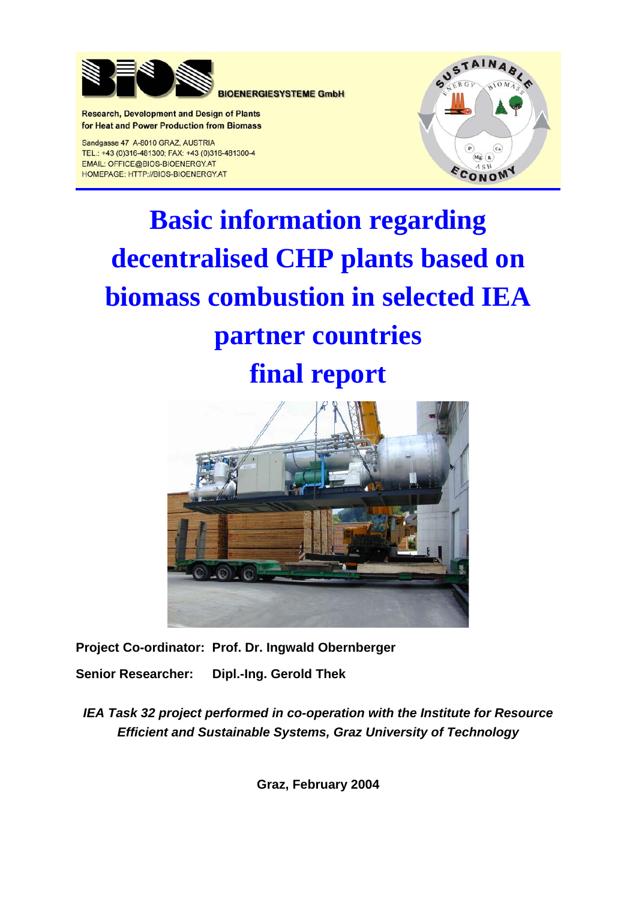

**BIOENERGIESYSTEME GmbH** 

**Research, Development and Design of Plants** for Heat and Power Production from Biomass

Sandgasse 47 A-8010 GRAZ, AUSTRIA TEL.: +43 (0)316-481300; FAX: +43 (0)316-481300-4 EMAIL: OFFICE@BIOS-BIOENERGY.AT HOMEPAGE: HTTP://BIOS-BIOENERGY.AT



# **Basic information regarding decentralised CHP plants based on biomass combustion in selected IEA partner countries final report**



**Project Co-ordinator: Prof. Dr. Ingwald Obernberger Senior Researcher: Dipl.-Ing. Gerold Thek** 

*IEA Task 32 project performed in co-operation with the Institute for Resource Efficient and Sustainable Systems, Graz University of Technology* 

**Graz, February 2004**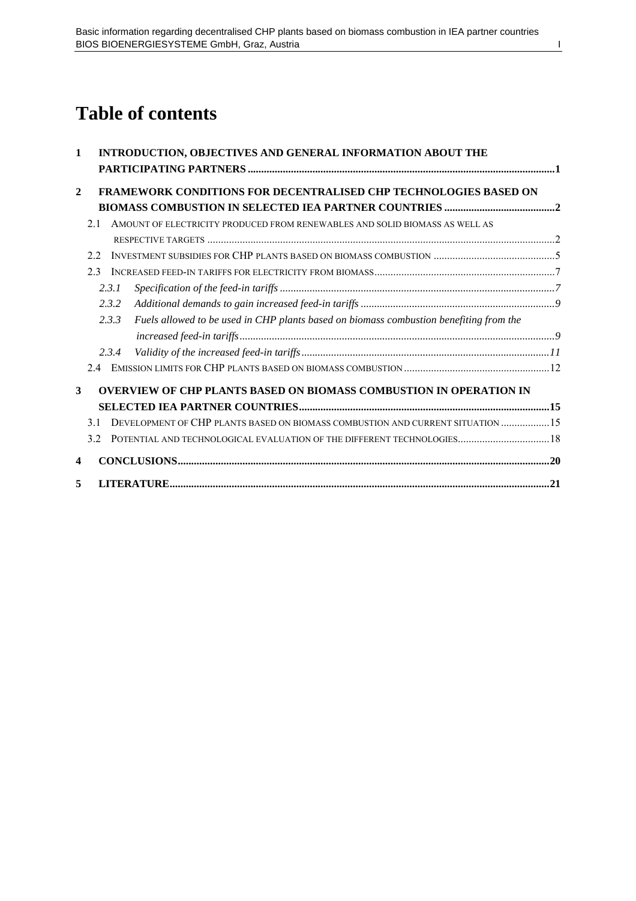# **Table of contents**

| $\mathbf{1}$            |     | INTRODUCTION, OBJECTIVES AND GENERAL INFORMATION ABOUT THE                                                        |  |
|-------------------------|-----|-------------------------------------------------------------------------------------------------------------------|--|
| $\overline{2}$          |     | FRAMEWORK CONDITIONS FOR DECENTRALISED CHP TECHNOLOGIES BASED ON                                                  |  |
|                         |     |                                                                                                                   |  |
|                         | 21  | AMOUNT OF ELECTRICITY PRODUCED FROM RENEWABLES AND SOLID BIOMASS AS WELL AS                                       |  |
|                         |     |                                                                                                                   |  |
|                         | 2.2 |                                                                                                                   |  |
|                         | 23  |                                                                                                                   |  |
|                         |     | 2.3.1                                                                                                             |  |
|                         |     | 2.3.2                                                                                                             |  |
|                         |     | Fuels allowed to be used in CHP plants based on biomass combustion benefiting from the<br>2.3.3                   |  |
|                         |     |                                                                                                                   |  |
|                         |     | 2.3.4                                                                                                             |  |
|                         | 2.4 |                                                                                                                   |  |
| $\overline{\mathbf{3}}$ |     | <b>OVERVIEW OF CHP PLANTS BASED ON BIOMASS COMBUSTION IN OPERATION IN</b>                                         |  |
|                         |     |                                                                                                                   |  |
|                         | 31  | DEVELOPMENT OF CHP PLANTS BASED ON BIOMASS COMBUSTION AND CURRENT SITUATION  15                                   |  |
|                         | 3.2 | POTENTIAL AND TECHNOLOGICAL EVALUATION OF THE DIFFERENT TECHNOLOGIES 18                                           |  |
| 4                       |     |                                                                                                                   |  |
| 5                       |     | ${\bf LITERATURE}.\hspace{2cm} \textcolor{red}{\bf LITERATURE} \textcolor{red}{\bf .11} \textcolor{red}{\bf .01}$ |  |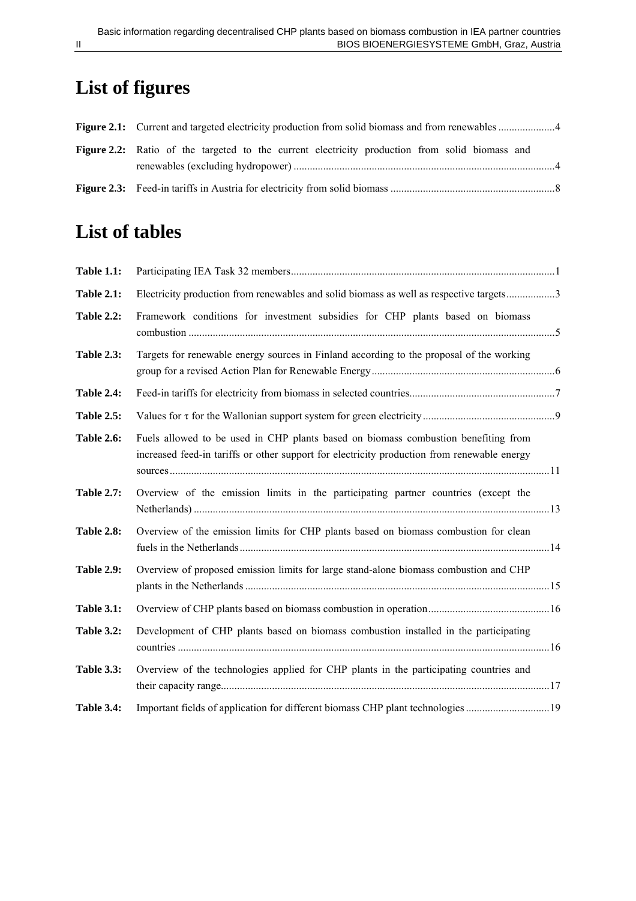# **List of figures**

| <b>Figure 2.2:</b> Ratio of the targeted to the current electricity production from solid biomass and |  |  |  |  |  |  |  |  |  |  |
|-------------------------------------------------------------------------------------------------------|--|--|--|--|--|--|--|--|--|--|
|                                                                                                       |  |  |  |  |  |  |  |  |  |  |

# **List of tables**

| <b>Table 1.1:</b> |                                                                                                                                                                                   |  |
|-------------------|-----------------------------------------------------------------------------------------------------------------------------------------------------------------------------------|--|
| <b>Table 2.1:</b> | Electricity production from renewables and solid biomass as well as respective targets3                                                                                           |  |
| <b>Table 2.2:</b> | Framework conditions for investment subsidies for CHP plants based on biomass                                                                                                     |  |
| <b>Table 2.3:</b> | Targets for renewable energy sources in Finland according to the proposal of the working                                                                                          |  |
| <b>Table 2.4:</b> |                                                                                                                                                                                   |  |
| <b>Table 2.5:</b> |                                                                                                                                                                                   |  |
| <b>Table 2.6:</b> | Fuels allowed to be used in CHP plants based on biomass combustion benefiting from<br>increased feed-in tariffs or other support for electricity production from renewable energy |  |
| <b>Table 2.7:</b> | Overview of the emission limits in the participating partner countries (except the                                                                                                |  |
| <b>Table 2.8:</b> | Overview of the emission limits for CHP plants based on biomass combustion for clean                                                                                              |  |
| <b>Table 2.9:</b> | Overview of proposed emission limits for large stand-alone biomass combustion and CHP                                                                                             |  |
| <b>Table 3.1:</b> |                                                                                                                                                                                   |  |
| <b>Table 3.2:</b> | Development of CHP plants based on biomass combustion installed in the participating                                                                                              |  |
| <b>Table 3.3:</b> | Overview of the technologies applied for CHP plants in the participating countries and                                                                                            |  |
| <b>Table 3.4:</b> | Important fields of application for different biomass CHP plant technologies 19                                                                                                   |  |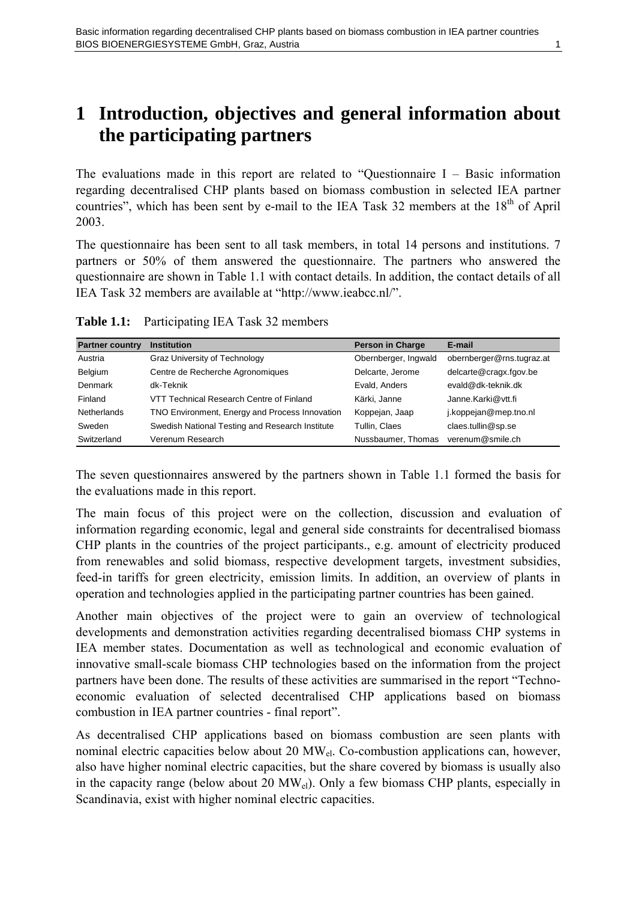# <span id="page-4-0"></span>**1 Introduction, objectives and general information about the participating partners**

The evaluations made in this report are related to "Questionnaire  $I$  – Basic information regarding decentralised CHP plants based on biomass combustion in selected IEA partner countries", which has been sent by e-mail to the IEA Task 32 members at the  $18<sup>th</sup>$  of April 2003.

The questionnaire has been sent to all task members, in total 14 persons and institutions. 7 partners or 50% of them answered the questionnaire. The partners who answered the questionnaire are shown in [Table 1.1](#page-4-1) with contact details. In addition, the contact details of all IEA Task 32 members are available at "http://www.ieabcc.nl/".

| <b>Partner country</b> | <b>Institution</b>                              | <b>Person in Charge</b> | E-mail                    |
|------------------------|-------------------------------------------------|-------------------------|---------------------------|
| Austria                | Graz University of Technology                   | Obernberger, Ingwald    | obernberger@rns.tugraz.at |
| Belgium                | Centre de Recherche Agronomiques                | Delcarte, Jerome        | delcarte@cragx.fgov.be    |
| Denmark                | dk-Teknik                                       | Evald, Anders           | evald@dk-teknik.dk        |
| Finland                | VTT Technical Research Centre of Finland        | Kärki, Janne            | Janne.Karki@vtt.fi        |
| <b>Netherlands</b>     | TNO Environment, Energy and Process Innovation  | Koppejan, Jaap          | j.koppejan@mep.tno.nl     |
| Sweden                 | Swedish National Testing and Research Institute | Tullin, Claes           | claes.tullin@sp.se        |
| Switzerland            | Verenum Research                                | Nussbaumer, Thomas      | verenum@smile.ch          |

<span id="page-4-1"></span>**Table 1.1:** Participating IEA Task 32 members

The seven questionnaires answered by the partners shown in [Table 1.1](#page-4-1) formed the basis for the evaluations made in this report.

The main focus of this project were on the collection, discussion and evaluation of information regarding economic, legal and general side constraints for decentralised biomass CHP plants in the countries of the project participants., e.g. amount of electricity produced from renewables and solid biomass, respective development targets, investment subsidies, feed-in tariffs for green electricity, emission limits. In addition, an overview of plants in operation and technologies applied in the participating partner countries has been gained.

Another main objectives of the project were to gain an overview of technological developments and demonstration activities regarding decentralised biomass CHP systems in IEA member states. Documentation as well as technological and economic evaluation of innovative small-scale biomass CHP technologies based on the information from the project partners have been done. The results of these activities are summarised in the report "Technoeconomic evaluation of selected decentralised CHP applications based on biomass combustion in IEA partner countries - final report".

As decentralised CHP applications based on biomass combustion are seen plants with nominal electric capacities below about 20  $MW_{el}$ . Co-combustion applications can, however, also have higher nominal electric capacities, but the share covered by biomass is usually also in the capacity range (below about 20  $MW_{el}$ ). Only a few biomass CHP plants, especially in Scandinavia, exist with higher nominal electric capacities.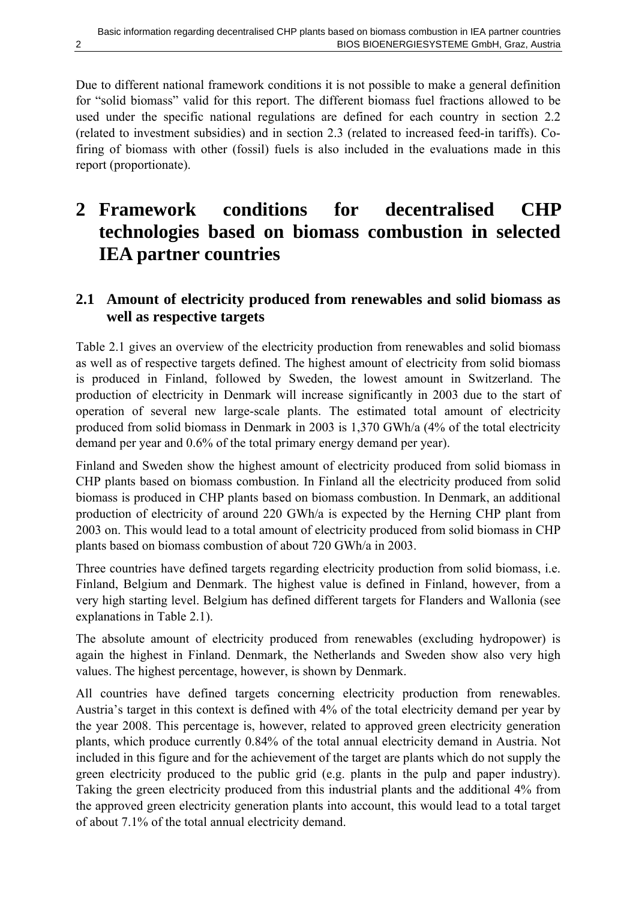<span id="page-5-0"></span>Due to different national framework conditions it is not possible to make a general definition for "solid biomass" valid for this report. The different biomass fuel fractions allowed to be used under the specific national regulations are defined for each country in section [2.2](#page-8-1)  (related to investment subsidies) and in section [2.3](#page-10-1) (related to increased feed-in tariffs). Cofiring of biomass with other (fossil) fuels is also included in the evaluations made in this report (proportionate).

# **2 Framework conditions for decentralised CHP technologies based on biomass combustion in selected IEA partner countries**

#### **2.1 Amount of electricity produced from renewables and solid biomass as well as respective targets**

[Table 2.1](#page-6-1) gives an overview of the electricity production from renewables and solid biomass as well as of respective targets defined. The highest amount of electricity from solid biomass is produced in Finland, followed by Sweden, the lowest amount in Switzerland. The production of electricity in Denmark will increase significantly in 2003 due to the start of operation of several new large-scale plants. The estimated total amount of electricity produced from solid biomass in Denmark in 2003 is 1,370 GWh/a (4% of the total electricity demand per year and 0.6% of the total primary energy demand per year).

Finland and Sweden show the highest amount of electricity produced from solid biomass in CHP plants based on biomass combustion. In Finland all the electricity produced from solid biomass is produced in CHP plants based on biomass combustion. In Denmark, an additional production of electricity of around 220 GWh/a is expected by the Herning CHP plant from 2003 on. This would lead to a total amount of electricity produced from solid biomass in CHP plants based on biomass combustion of about 720 GWh/a in 2003.

Three countries have defined targets regarding electricity production from solid biomass, i.e. Finland, Belgium and Denmark. The highest value is defined in Finland, however, from a very high starting level. Belgium has defined different targets for Flanders and Wallonia (see explanations in [Table 2.1\)](#page-6-1).

The absolute amount of electricity produced from renewables (excluding hydropower) is again the highest in Finland. Denmark, the Netherlands and Sweden show also very high values. The highest percentage, however, is shown by Denmark.

All countries have defined targets concerning electricity production from renewables. Austria's target in this context is defined with 4% of the total electricity demand per year by the year 2008. This percentage is, however, related to approved green electricity generation plants, which produce currently 0.84% of the total annual electricity demand in Austria. Not included in this figure and for the achievement of the target are plants which do not supply the green electricity produced to the public grid (e.g. plants in the pulp and paper industry). Taking the green electricity produced from this industrial plants and the additional 4% from the approved green electricity generation plants into account, this would lead to a total target of about 7.1% of the total annual electricity demand.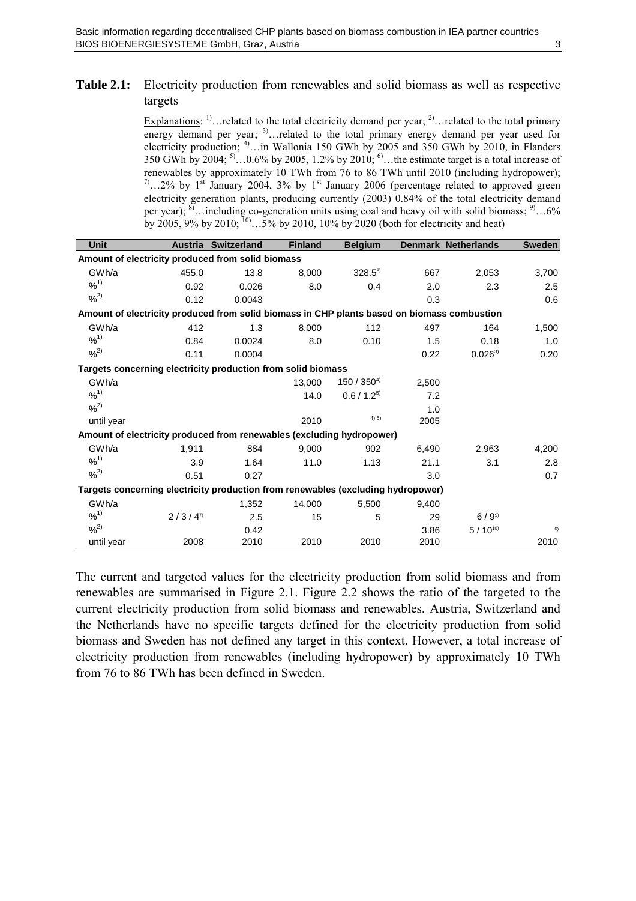#### <span id="page-6-1"></span><span id="page-6-0"></span>**Table 2.1:** Electricity production from renewables and solid biomass as well as respective targets

Explanations:  $^{1)}$ ... related to the total electricity demand per year;  $^{2)}$ ... related to the total primary energy demand per year;  $3^3$ ... related to the total primary energy demand per year used for electricity production; 4)…in Wallonia 150 GWh by 2005 and 350 GWh by 2010, in Flanders 350 GWh by 2004;  $5^{\circ}$ ...0.6% by 2005, 1.2% by 2010;  $^{\circ}$ ...the estimate target is a total increase of renewables by approximately 10 TWh from 76 to 86 TWh until 2010 (including hydropower);  $^{7}$ …2% by 1<sup>st</sup> January 2004, 3% by 1<sup>st</sup> January 2006 (percentage related to approved green electricity generation plants, producing currently (2003) 0.84% of the total electricity demand per year); <sup>8)</sup>…including co-generation units using coal and heavy oil with solid biomass; <sup>9)</sup>…6% by 2005, 9% by 2010;  $^{10}$ ...5% by 2010, 10% by 2020 (both for electricity and heat)

| Unit                                                                                        | <b>Austria</b> | <b>Switzerland</b> | <b>Finland</b> | <b>Belgium</b>        |       | <b>Denmark Netherlands</b> | <b>Sweden</b> |  |  |
|---------------------------------------------------------------------------------------------|----------------|--------------------|----------------|-----------------------|-------|----------------------------|---------------|--|--|
| Amount of electricity produced from solid biomass                                           |                |                    |                |                       |       |                            |               |  |  |
| GWh/a                                                                                       | 455.0          | 13.8               | 8,000          | $328.5$ <sup>8)</sup> | 667   | 2,053                      | 3,700         |  |  |
| $9/6^{1}$                                                                                   | 0.92           | 0.026              | 8.0            | 0.4                   | 2.0   | 2.3                        | 2.5           |  |  |
| $9/6^2$                                                                                     | 0.12           | 0.0043             |                |                       | 0.3   |                            | 0.6           |  |  |
| Amount of electricity produced from solid biomass in CHP plants based on biomass combustion |                |                    |                |                       |       |                            |               |  |  |
| GWh/a                                                                                       | 412            | 1.3                | 8,000          | 112                   | 497   | 164                        | 1,500         |  |  |
| $9/6^{1}$                                                                                   | 0.84           | 0.0024             | 8.0            | 0.10                  | 1.5   | 0.18                       | 1.0           |  |  |
| $%^{2)}$                                                                                    | 0.11           | 0.0004             |                |                       | 0.22  | $0.026^{3}$                | 0.20          |  |  |
| Targets concerning electricity production from solid biomass                                |                |                    |                |                       |       |                            |               |  |  |
| GWh/a                                                                                       |                |                    | 13,000         | $150/350^{4}$         | 2,500 |                            |               |  |  |
| $9/6^{1}$                                                                                   |                |                    | 14.0           | $0.6 / 1.2^{5}$       | 7.2   |                            |               |  |  |
| $9/6^2$                                                                                     |                |                    |                |                       | 1.0   |                            |               |  |  |
| until year                                                                                  |                |                    | 2010           | 4) 5)                 | 2005  |                            |               |  |  |
| Amount of electricity produced from renewables (excluding hydropower)                       |                |                    |                |                       |       |                            |               |  |  |
| GWh/a                                                                                       | 1,911          | 884                | 9.000          | 902                   | 6,490 | 2,963                      | 4,200         |  |  |
| $9/6^{1}$                                                                                   | 3.9            | 1.64               | 11.0           | 1.13                  | 21.1  | 3.1                        | 2.8           |  |  |
| $%^{2)}$                                                                                    | 0.51           | 0.27               |                |                       | 3.0   |                            | 0.7           |  |  |
| Targets concerning electricity production from renewables (excluding hydropower)            |                |                    |                |                       |       |                            |               |  |  |
| GWh/a                                                                                       |                | 1,352              | 14,000         | 5,500                 | 9,400 |                            |               |  |  |
| $9/6^{1}$                                                                                   | $2/3/4^{7}$    | 2.5                | 15             | 5                     | 29    | $6/9^{9}$                  |               |  |  |
| $9/6^2$                                                                                     |                | 0.42               |                |                       | 3.86  | $5/10^{10}$                | 6)            |  |  |
| until year                                                                                  | 2008           | 2010               | 2010           | 2010                  | 2010  |                            | 2010          |  |  |

The current and targeted values for the electricity production from solid biomass and from renewables are summarised in [Figure 2.1.](#page-7-1) [Figure 2.2](#page-7-2) shows the ratio of the targeted to the current electricity production from solid biomass and renewables. Austria, Switzerland and the Netherlands have no specific targets defined for the electricity production from solid biomass and Sweden has not defined any target in this context. However, a total increase of electricity production from renewables (including hydropower) by approximately 10 TWh from 76 to 86 TWh has been defined in Sweden.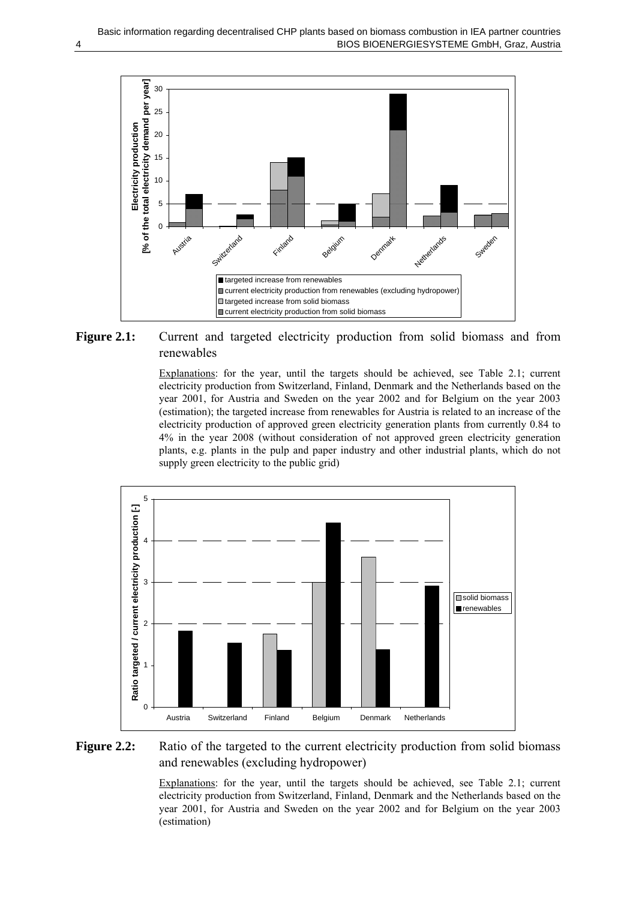<span id="page-7-0"></span>

<span id="page-7-1"></span>Figure 2.1: Current and targeted electricity production from solid biomass and from renewables

Explanations: for the year, until the targets should be achieved, see [Table 2.1;](#page-6-1) current electricity production from Switzerland, Finland, Denmark and the Netherlands based on the year 2001, for Austria and Sweden on the year 2002 and for Belgium on the year 2003 (estimation); the targeted increase from renewables for Austria is related to an increase of the electricity production of approved green electricity generation plants from currently 0.84 to 4% in the year 2008 (without consideration of not approved green electricity generation plants, e.g. plants in the pulp and paper industry and other industrial plants, which do not supply green electricity to the public grid)



<span id="page-7-2"></span>Figure 2.2: Ratio of the targeted to the current electricity production from solid biomass and renewables (excluding hydropower)

Explanations: for the year, until the targets should be achieved, see [Table 2.1;](#page-6-1) current electricity production from Switzerland, Finland, Denmark and the Netherlands based on the year 2001, for Austria and Sweden on the year 2002 and for Belgium on the year 2003 (estimation)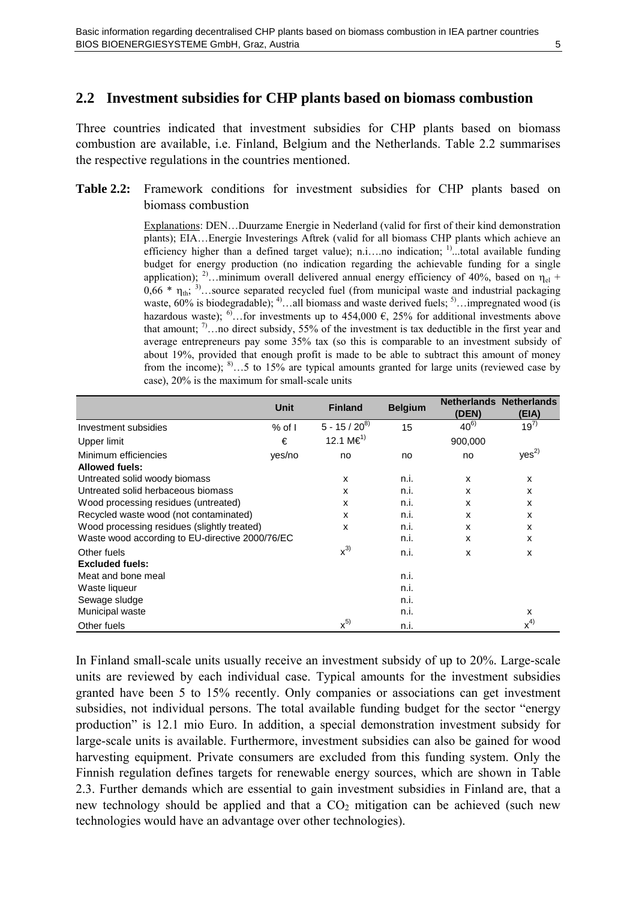#### <span id="page-8-1"></span><span id="page-8-0"></span>**2.2 Investment subsidies for CHP plants based on biomass combustion**

Three countries indicated that investment subsidies for CHP plants based on biomass combustion are available, i.e. Finland, Belgium and the Netherlands. [Table 2.2](#page-8-2) summarises the respective regulations in the countries mentioned.

#### <span id="page-8-2"></span>**Table 2.2:** Framework conditions for investment subsidies for CHP plants based on biomass combustion

Explanations: DEN…Duurzame Energie in Nederland (valid for first of their kind demonstration plants); EIA…Energie Investerings Aftrek (valid for all biomass CHP plants which achieve an efficiency higher than a defined target value); n.i....no indication; <sup>1)</sup>...total available funding budget for energy production (no indication regarding the achievable funding for a single application); <sup>2)</sup>…minimum overall delivered annual energy efficiency of 40%, based on  $\eta_{el}$  +  $0.66 * \eta_{th}$ ; <sup>3)</sup>…source separated recycled fuel (from municipal waste and industrial packaging waste,  $60\%$  is biodegradable); <sup>4)</sup>…all biomass and waste derived fuels; <sup>5)</sup>…impregnated wood (is hazardous waste); <sup>6)</sup>…for investments up to 454,000 €, 25% for additional investments above that amount;  $\binom{7}{1}$ …no direct subsidy, 55% of the investment is tax deductible in the first year and average entrepreneurs pay some 35% tax (so this is comparable to an investment subsidy of about 19%, provided that enough profit is made to be able to subtract this amount of money from the income); <sup>8)</sup>…5 to 15% are typical amounts granted for large units (reviewed case by case), 20% is the maximum for small-scale units

|                                                 | Unit           | <b>Finland</b>        | <b>Belgium</b> | (DEN)    | <b>Netherlands Netherlands</b><br>(EIA) |
|-------------------------------------------------|----------------|-----------------------|----------------|----------|-----------------------------------------|
| Investment subsidies                            | $%$ of $\vert$ | $5 - 15 / 20^{8}$     | 15             | $40^{6}$ | $19^{7}$                                |
| <b>Upper limit</b>                              | €              | 12.1 M€ <sup>1)</sup> |                | 900,000  |                                         |
| Minimum efficiencies                            | yes/no         | no                    | no             | no       | $yes^{2)}$                              |
| <b>Allowed fuels:</b>                           |                |                       |                |          |                                         |
| Untreated solid woody biomass                   |                | X                     | n.i.           | X        | X                                       |
| Untreated solid herbaceous biomass              |                | X                     | n.i.           | X        | x                                       |
| Wood processing residues (untreated)            |                | X                     | n.i.           | X        | x                                       |
| Recycled waste wood (not contaminated)          |                | X                     | n.i.           | X        | x                                       |
| Wood processing residues (slightly treated)     |                | X                     | n.i.           | X        | x                                       |
| Waste wood according to EU-directive 2000/76/EC |                |                       | n.i.           | X        | x                                       |
| Other fuels                                     |                | $x^{3}$               | n.i.           | X        | x                                       |
| <b>Excluded fuels:</b>                          |                |                       |                |          |                                         |
| Meat and bone meal                              |                |                       | n.i.           |          |                                         |
| Waste liqueur                                   |                |                       | n.i.           |          |                                         |
| Sewage sludge                                   |                |                       | n.i.           |          |                                         |
| Municipal waste                                 |                |                       | n.i.           |          | х                                       |
| Other fuels                                     |                | $x^{5}$               | n.i.           |          | $x^{4)}$                                |

In Finland small-scale units usually receive an investment subsidy of up to 20%. Large-scale units are reviewed by each individual case. Typical amounts for the investment subsidies granted have been 5 to 15% recently. Only companies or associations can get investment subsidies, not individual persons. The total available funding budget for the sector "energy production" is 12.1 mio Euro. In addition, a special demonstration investment subsidy for large-scale units is available. Furthermore, investment subsidies can also be gained for wood harvesting equipment. Private consumers are excluded from this funding system. Only the Finnish regulation defines targets for renewable energy sources, which are shown in [Table](#page-9-1)  [2.3.](#page-9-1) Further demands which are essential to gain investment subsidies in Finland are, that a new technology should be applied and that a  $CO<sub>2</sub>$  mitigation can be achieved (such new technologies would have an advantage over other technologies).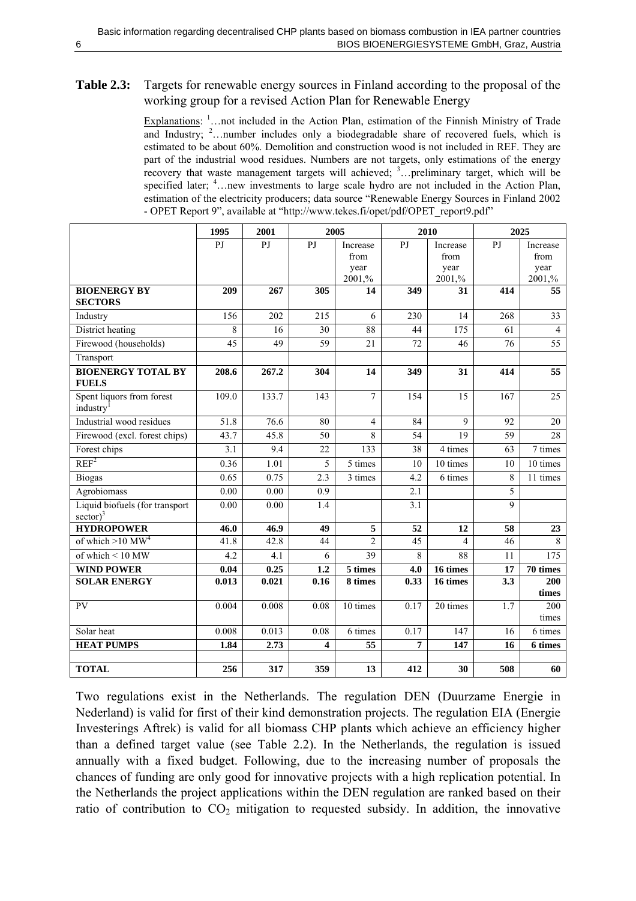#### <span id="page-9-1"></span><span id="page-9-0"></span>**Table 2.3:** Targets for renewable energy sources in Finland according to the proposal of the working group for a revised Action Plan for Renewable Energy

Explanations:  $\frac{1}{1}$ ... not included in the Action Plan, estimation of the Finnish Ministry of Trade and Industry;  $2$ ...number includes only a biodegradable share of recovered fuels, which is estimated to be about 60%. Demolition and construction wood is not included in REF. They are part of the industrial wood residues. Numbers are not targets, only estimations of the energy recovery that waste management targets will achieved;  $3$ ... preliminary target, which will be specified later;  $4 \ldots$  new investments to large scale hydro are not included in the Action Plan, estimation of the electricity producers; data source "Renewable Energy Sources in Finland 2002 - OPET Report 9", available at "http://www.tekes.fi/opet/pdf/OPET\_report9.pdf"

|                                                                | 1995            | 2001  |                         | 2005                 |                  | 2010             | 2025        |                      |
|----------------------------------------------------------------|-----------------|-------|-------------------------|----------------------|------------------|------------------|-------------|----------------------|
|                                                                | PJ              | PJ    | PJ                      | Increase<br>from     | PJ               | Increase<br>from | PJ          | Increase<br>from     |
|                                                                |                 |       |                         | year                 |                  | year             |             | year                 |
|                                                                |                 |       |                         | 2001,%               |                  | 2001,%           |             | 2001,%               |
| <b>BIOENERGY BY</b><br><b>SECTORS</b>                          | 209             | 267   | 305                     | 14                   | 349              | 31               | 414         | $\overline{55}$      |
| Industry                                                       | 156             | 202   | $\overline{215}$        | 6                    | 230              | $\overline{14}$  | 268         | $\overline{33}$      |
| District heating                                               | 8               | 16    | 30                      | 88                   | 44               | 175              | 61          | $\overline{4}$       |
| Firewood (households)                                          | $\overline{45}$ | 49    | $\overline{59}$         | 21                   | 72               | 46               | 76          | $\overline{55}$      |
| Transport                                                      |                 |       |                         |                      |                  |                  |             |                      |
| <b>BIOENERGY TOTAL BY</b><br><b>FUELS</b>                      | 208.6           | 267.2 | 304                     | 14                   | 349              | 31               | 414         | 55                   |
| Spent liquors from forest<br>industry <sup>1</sup>             | 109.0           | 133.7 | 143                     | $\overline{7}$       | 154              | 15               | 167         | 25                   |
| Industrial wood residues                                       | 51.8            | 76.6  | 80                      | $\overline{4}$       | 84               | 9                | 92          | 20                   |
| Firewood (excl. forest chips)                                  | 43.7            | 45.8  | 50                      | 8                    | 54               | 19               | 59          | 28                   |
| Forest chips                                                   | 3.1             | 9.4   | 22                      | 133                  | 38               | 4 times          | 63          | $\overline{7}$ times |
| REF <sup>2</sup>                                               | 0.36            | 1.01  | 5                       | 5 times              | 10               | 10 times         | 10          | 10 times             |
| <b>Biogas</b>                                                  | 0.65            | 0.75  | $\overline{2.3}$        | $\overline{3}$ times | $\overline{4.2}$ | 6 times          | 8           | 11 times             |
| Agrobiomass                                                    | 0.00            | 0.00  | 0.9                     |                      | 2.1              |                  | 5           |                      |
| Liquid biofuels (for transport<br>$\left(\frac{1}{2}\right)^3$ | 0.00            | 0.00  | 1.4                     |                      | 3.1              |                  | $\mathbf Q$ |                      |
| <b>HYDROPOWER</b>                                              | 46.0            | 46.9  | 49                      | 5                    | 52               | 12               | 58          | 23                   |
| of which $>10$ MW <sup>4</sup>                                 | 41.8            | 42.8  | $\overline{44}$         | $\overline{c}$       | 45               | $\overline{4}$   | 46          | 8                    |
| of which < 10 MW                                               | 4.2             | 4.1   | 6                       | $\overline{39}$      | 8                | 88               | 11          | 175                  |
| <b>WIND POWER</b>                                              | 0.04            | 0.25  | 1.2                     | 5 times              | 4.0              | 16 times         | 17          | 70 times             |
| <b>SOLAR ENERGY</b>                                            | 0.013           | 0.021 | 0.16                    | 8 times              | 0.33             | 16 times         | 3.3         | 200                  |
| <b>PV</b>                                                      |                 |       |                         |                      |                  |                  |             | times<br>200         |
|                                                                | 0.004           | 0.008 | 0.08                    | 10 times             | 0.17             | 20 times         | 1.7         | times                |
| Solar heat                                                     | 0.008           | 0.013 | 0.08                    | 6 times              | 0.17             | 147              | 16          | 6 times              |
| <b>HEAT PUMPS</b>                                              | 1.84            | 2.73  | $\overline{\mathbf{4}}$ | 55                   | 7                | 147              | 16          | 6 times              |
|                                                                |                 |       |                         |                      |                  |                  |             |                      |
| <b>TOTAL</b>                                                   | 256             | 317   | 359                     | 13                   | 412              | 30               | 508         | 60                   |

Two regulations exist in the Netherlands. The regulation DEN (Duurzame Energie in Nederland) is valid for first of their kind demonstration projects. The regulation EIA (Energie Investerings Aftrek) is valid for all biomass CHP plants which achieve an efficiency higher than a defined target value (see [Table 2.2\)](#page-8-2). In the Netherlands, the regulation is issued annually with a fixed budget. Following, due to the increasing number of proposals the chances of funding are only good for innovative projects with a high replication potential. In the Netherlands the project applications within the DEN regulation are ranked based on their ratio of contribution to  $CO<sub>2</sub>$  mitigation to requested subsidy. In addition, the innovative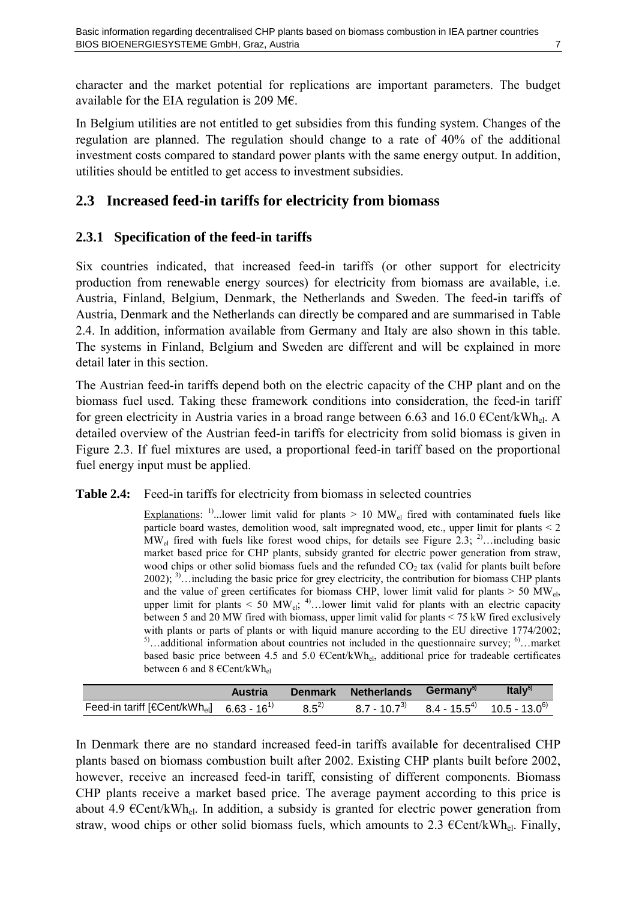<span id="page-10-0"></span>character and the market potential for replications are important parameters. The budget available for the EIA regulation is 209 M€.

In Belgium utilities are not entitled to get subsidies from this funding system. Changes of the regulation are planned. The regulation should change to a rate of 40% of the additional investment costs compared to standard power plants with the same energy output. In addition, utilities should be entitled to get access to investment subsidies.

#### <span id="page-10-1"></span>**2.3 Increased feed-in tariffs for electricity from biomass**

#### **2.3.1 Specification of the feed-in tariffs**

Six countries indicated, that increased feed-in tariffs (or other support for electricity production from renewable energy sources) for electricity from biomass are available, i.e. Austria, Finland, Belgium, Denmark, the Netherlands and Sweden. The feed-in tariffs of Austria, Denmark and the Netherlands can directly be compared and are summarised in [Table](#page-10-2)  [2.4.](#page-10-2) In addition, information available from Germany and Italy are also shown in this table. The systems in Finland, Belgium and Sweden are different and will be explained in more detail later in this section.

The Austrian feed-in tariffs depend both on the electric capacity of the CHP plant and on the biomass fuel used. Taking these framework conditions into consideration, the feed-in tariff for green electricity in Austria varies in a broad range between 6.63 and 16.0  $\epsilon$ Cent/kWh<sub>el</sub>. A detailed overview of the Austrian feed-in tariffs for electricity from solid biomass is given in [Figure 2.3.](#page-11-1) If fuel mixtures are used, a proportional feed-in tariff based on the proportional fuel energy input must be applied.

#### <span id="page-10-2"></span>**Table 2.4:** Feed-in tariffs for electricity from biomass in selected countries

Explanations: <sup>1)</sup>...lower limit valid for plants  $> 10$  MW<sub>el</sub> fired with contaminated fuels like particle board wastes, demolition wood, salt impregnated wood, etc., upper limit for plants < 2  $MW_{el}$  fired with fuels like forest wood chips, for details see [Figure 2.3;](#page-11-1) <sup>2)</sup>…including basic market based price for CHP plants, subsidy granted for electric power generation from straw, wood chips or other solid biomass fuels and the refunded  $CO<sub>2</sub>$  tax (valid for plants built before  $2002$ ; <sup>3)</sup>…including the basic price for grey electricity, the contribution for biomass CHP plants and the value of green certificates for biomass CHP, lower limit valid for plants  $> 50$  MW<sub>eb</sub> upper limit for plants  $\leq 50$  MW<sub>el</sub>; <sup>4)</sup>... lower limit valid for plants with an electric capacity between 5 and 20 MW fired with biomass, upper limit valid for plants < 75 kW fired exclusively with plants or parts of plants or with liquid manure according to the EU directive 1774/2002; <sup>5)</sup>…additional information about countries not included in the questionnaire survey; <sup>6)</sup>…market based basic price between 4.5 and 5.0  $\epsilon$ Cent/kWh<sub>el</sub>, additional price for tradeable certificates between 6 and 8  $\in$ Cent/kWh<sub>el</sub>

|                                                                                                                                                           | Austria | Denmark Netherlands Germany <sup>5)</sup> | Ital $V^{5)}$ |
|-----------------------------------------------------------------------------------------------------------------------------------------------------------|---------|-------------------------------------------|---------------|
| Feed-in tariff [Cent/kWh <sub>el</sub> ] 6.63 - 16 <sup>1</sup> 8.5 <sup>2</sup> 8.7 - 10.7 <sup>3</sup> 8.4 - 15.5 <sup>4</sup> 10.5 - 13.0 <sup>6</sup> |         |                                           |               |

In Denmark there are no standard increased feed-in tariffs available for decentralised CHP plants based on biomass combustion built after 2002. Existing CHP plants built before 2002, however, receive an increased feed-in tariff, consisting of different components. Biomass CHP plants receive a market based price. The average payment according to this price is about 4.9  $\in$ Cent/kWh<sub>el</sub>. In addition, a subsidy is granted for electric power generation from straw, wood chips or other solid biomass fuels, which amounts to 2.3  $\epsilon$ Cent/kWh<sub>el</sub>. Finally,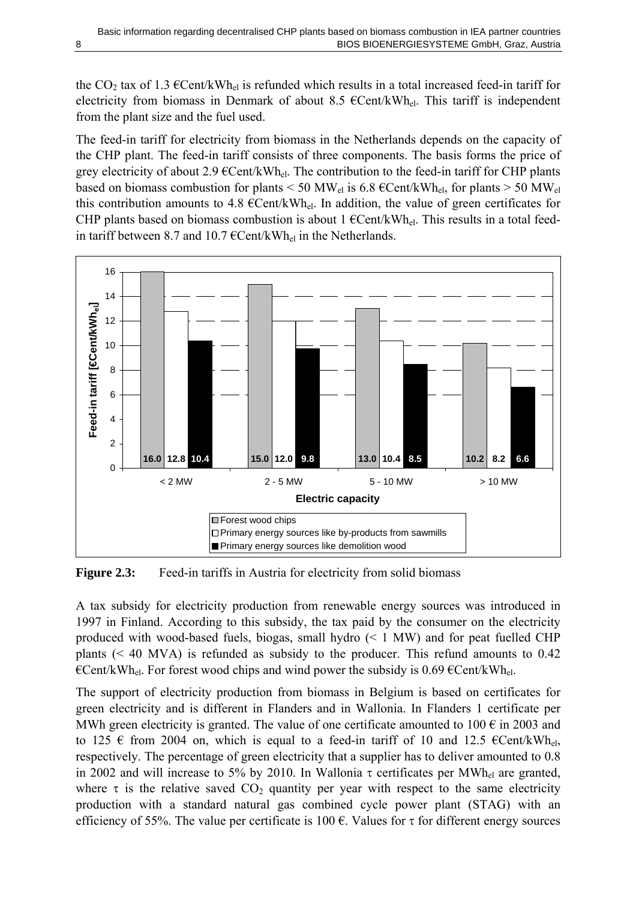<span id="page-11-0"></span>the CO<sub>2</sub> tax of 1.3  $\epsilon$ Cent/kWh<sub>el</sub> is refunded which results in a total increased feed-in tariff for electricity from biomass in Denmark of about 8.5  $\epsilon$ Cent/kWh<sub>el</sub>. This tariff is independent from the plant size and the fuel used.

The feed-in tariff for electricity from biomass in the Netherlands depends on the capacity of the CHP plant. The feed-in tariff consists of three components. The basis forms the price of grey electricity of about 2.9  $\epsilon$ Cent/kWh<sub>el</sub>. The contribution to the feed-in tariff for CHP plants based on biomass combustion for plants < 50 MW<sub>el</sub> is 6.8  $\epsilon$ Cent/kWh<sub>el</sub>, for plants > 50 MW<sub>el</sub> this contribution amounts to 4.8  $\epsilon$ Cent/kWh<sub>el</sub>. In addition, the value of green certificates for CHP plants based on biomass combustion is about 1  $\epsilon$ Cent/kWh<sub>el</sub>. This results in a total feedin tariff between 8.7 and 10.7  $\epsilon$ Cent/kWh<sub>el</sub> in the Netherlands.



<span id="page-11-1"></span>**Figure 2.3:** Feed-in tariffs in Austria for electricity from solid biomass

A tax subsidy for electricity production from renewable energy sources was introduced in 1997 in Finland. According to this subsidy, the tax paid by the consumer on the electricity produced with wood-based fuels, biogas, small hydro (< 1 MW) and for peat fuelled CHP plants (< 40 MVA) is refunded as subsidy to the producer. This refund amounts to 0.42  $\epsilon$ Cent/kWh<sub>el</sub>. For forest wood chips and wind power the subsidy is 0.69  $\epsilon$ Cent/kWh<sub>el</sub>.

The support of electricity production from biomass in Belgium is based on certificates for green electricity and is different in Flanders and in Wallonia. In Flanders 1 certificate per MWh green electricity is granted. The value of one certificate amounted to 100  $\epsilon$  in 2003 and to 125  $\epsilon$  from 2004 on, which is equal to a feed-in tariff of 10 and 12.5  $\epsilon$ Cent/kWh<sub>el</sub>, respectively. The percentage of green electricity that a supplier has to deliver amounted to 0.8 in 2002 and will increase to 5% by 2010. In Wallonia  $\tau$  certificates per MWh<sub>el</sub> are granted, where  $\tau$  is the relative saved  $CO_2$  quantity per year with respect to the same electricity production with a standard natural gas combined cycle power plant (STAG) with an efficiency of 55%. The value per certificate is 100  $\epsilon$ . Values for  $\tau$  for different energy sources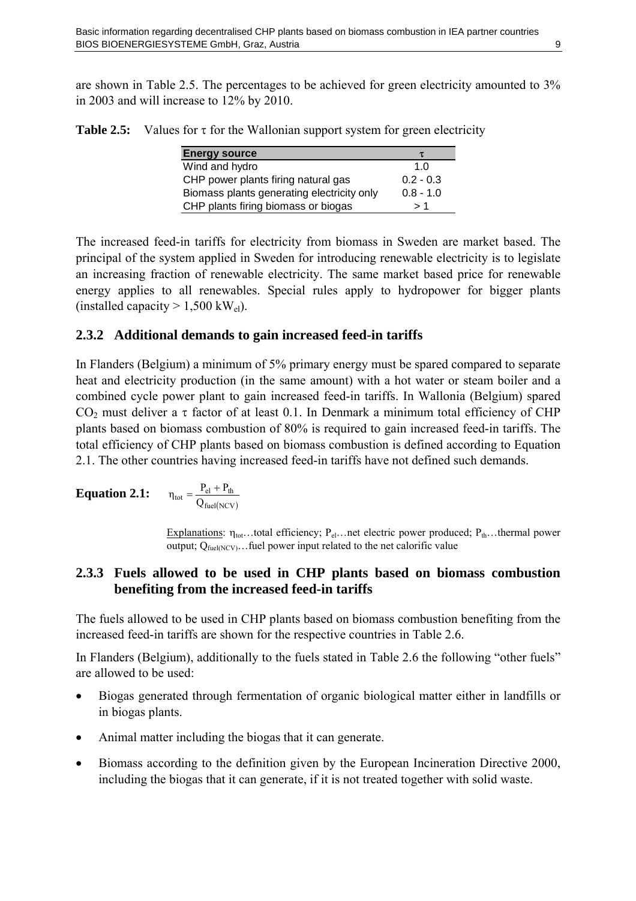<span id="page-12-0"></span>are shown in [Table 2.5.](#page-12-1) The percentages to be achieved for green electricity amounted to 3% in 2003 and will increase to 12% by 2010.

<span id="page-12-1"></span>**Table 2.5:** Values for τ for the Wallonian support system for green electricity

| <b>Energy source</b>                       | τ           |
|--------------------------------------------|-------------|
| Wind and hydro                             | 1. $\Omega$ |
| CHP power plants firing natural gas        | $0.2 - 0.3$ |
| Biomass plants generating electricity only | $0.8 - 1.0$ |
| CHP plants firing biomass or biogas        | >1          |

The increased feed-in tariffs for electricity from biomass in Sweden are market based. The principal of the system applied in Sweden for introducing renewable electricity is to legislate an increasing fraction of renewable electricity. The same market based price for renewable energy applies to all renewables. Special rules apply to hydropower for bigger plants (installed capacity  $> 1,500$  kW<sub>el</sub>).

#### **2.3.2 Additional demands to gain increased feed-in tariffs**

In Flanders (Belgium) a minimum of 5% primary energy must be spared compared to separate heat and electricity production (in the same amount) with a hot water or steam boiler and a combined cycle power plant to gain increased feed-in tariffs. In Wallonia (Belgium) spared CO<sub>2</sub> must deliver a  $\tau$  factor of at least 0.1. In Denmark a minimum total efficiency of CHP plants based on biomass combustion of 80% is required to gain increased feed-in tariffs. The total efficiency of CHP plants based on biomass combustion is defined according to [Equation](#page-12-2)  [2.1.](#page-12-2) The other countries having increased feed-in tariffs have not defined such demands.

<span id="page-12-2"></span>**Equation 2.1:** 
$$
\eta_{tot} = \frac{P_{el} + P_{th}}{Q_{fuel(NCV)}}
$$

Explanations:  $\eta_{\text{tot}}$ ...total efficiency;  $P_{el}$ ...net electric power produced;  $P_{th}$ ...thermal power output;  $Q_{\text{fuel/NCV}}$ ... fuel power input related to the net calorific value

#### **2.3.3 Fuels allowed to be used in CHP plants based on biomass combustion benefiting from the increased feed-in tariffs**

The fuels allowed to be used in CHP plants based on biomass combustion benefiting from the increased feed-in tariffs are shown for the respective countries in [Table 2.6.](#page-14-1)

In Flanders (Belgium), additionally to the fuels stated in [Table 2.6](#page-14-1) the following "other fuels" are allowed to be used:

- Biogas generated through fermentation of organic biological matter either in landfills or in biogas plants.
- Animal matter including the biogas that it can generate.
- Biomass according to the definition given by the European Incineration Directive 2000, including the biogas that it can generate, if it is not treated together with solid waste.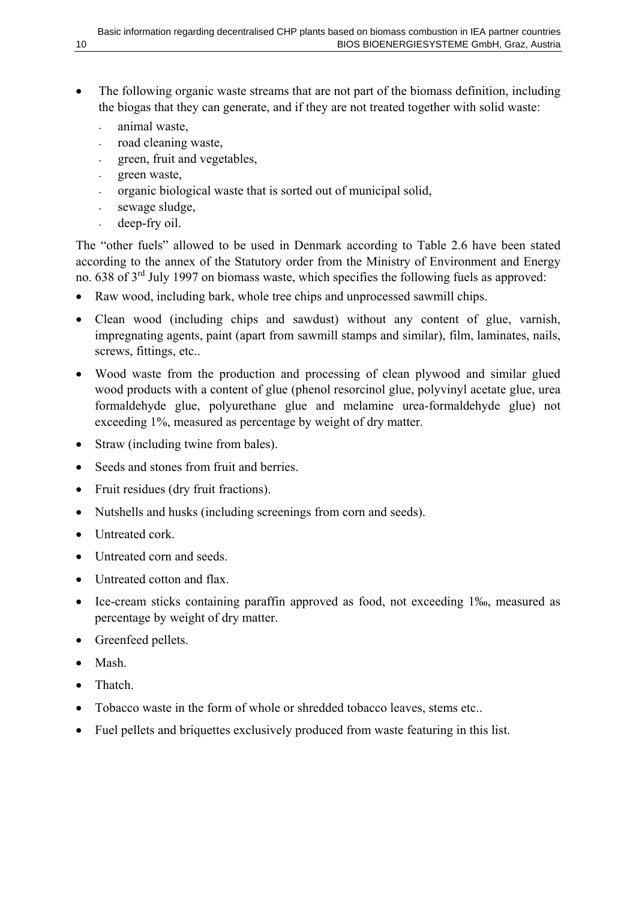- The following organic waste streams that are not part of the biomass definition, including the biogas that they can generate, and if they are not treated together with solid waste:
	- animal waste.
	- road cleaning waste,
	- green, fruit and vegetables,
	- green waste,
	- organic biological waste that is sorted out of municipal solid,
	- sewage sludge,
	- deep-fry oil.

The "other fuels" allowed to be used in Denmark according to [Table 2.6](#page-14-1) have been stated according to the annex of the Statutory order from the Ministry of Environment and Energy no. 638 of 3<sup>rd</sup> July 1997 on biomass waste, which specifies the following fuels as approved:

- Raw wood, including bark, whole tree chips and unprocessed sawmill chips.
- Clean wood (including chips and sawdust) without any content of glue, varnish, impregnating agents, paint (apart from sawmill stamps and similar), film, laminates, nails, screws, fittings, etc..
- Wood waste from the production and processing of clean plywood and similar glued wood products with a content of glue (phenol resorcinol glue, polyvinyl acetate glue, urea formaldehyde glue, polyurethane glue and melamine urea-formaldehyde glue) not exceeding 1%, measured as percentage by weight of dry matter.
- Straw (including twine from bales).
- Seeds and stones from fruit and berries.
- Fruit residues (dry fruit fractions).
- Nutshells and husks (including screenings from corn and seeds).
- Untreated cork.
- Untreated corn and seeds.
- Untreated cotton and flax.
- Ice-cream sticks containing paraffin approved as food, not exceeding 1‰, measured as percentage by weight of dry matter.
- Greenfeed pellets.
- Mash.
- Thatch
- Tobacco waste in the form of whole or shredded tobacco leaves, stems etc..
- Fuel pellets and briquettes exclusively produced from waste featuring in this list.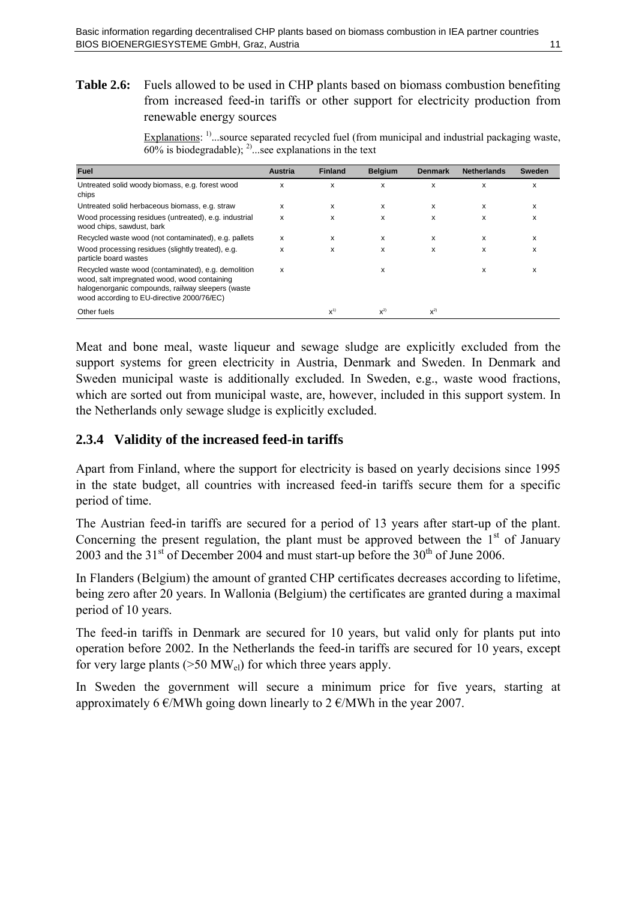#### <span id="page-14-1"></span><span id="page-14-0"></span>**Table 2.6:** Fuels allowed to be used in CHP plants based on biomass combustion benefiting from increased feed-in tariffs or other support for electricity production from renewable energy sources

Explanations: <sup>1)</sup>...source separated recycled fuel (from municipal and industrial packaging waste,  $\overline{60\%}$  is biodegradable); <sup>2)</sup>...see explanations in the text

| <b>Fuel</b>                                                                                                                                                                                            | <b>Austria</b> | <b>Finland</b> | <b>Belgium</b> | <b>Denmark</b> | <b>Netherlands</b> | Sweden |
|--------------------------------------------------------------------------------------------------------------------------------------------------------------------------------------------------------|----------------|----------------|----------------|----------------|--------------------|--------|
| Untreated solid woody biomass, e.g. forest wood<br>chips                                                                                                                                               | x              | X              | x              | x              | x                  | x      |
| Untreated solid herbaceous biomass, e.g. straw                                                                                                                                                         | x              | x              | x              | x              | x                  | x      |
| Wood processing residues (untreated), e.g. industrial<br>wood chips, sawdust, bark                                                                                                                     | x              | x              | x              | x              | x                  | х      |
| Recycled waste wood (not contaminated), e.g. pallets                                                                                                                                                   | x              | x              | x              | x              | x                  | x      |
| Wood processing residues (slightly treated), e.g.<br>particle board wastes                                                                                                                             | x              | x              | x              | x              | x                  | x      |
| Recycled waste wood (contaminated), e.g. demolition<br>wood, salt impregnated wood, wood containing<br>halogenorganic compounds, railway sleepers (waste<br>wood according to EU-directive 2000/76/EC) | x              |                | x              |                | x                  | x      |
| Other fuels                                                                                                                                                                                            |                | $X^{(1)}$      | $X^{2)}$       | $X^{2)}$       |                    |        |

Meat and bone meal, waste liqueur and sewage sludge are explicitly excluded from the support systems for green electricity in Austria, Denmark and Sweden. In Denmark and Sweden municipal waste is additionally excluded. In Sweden, e.g., waste wood fractions, which are sorted out from municipal waste, are, however, included in this support system. In the Netherlands only sewage sludge is explicitly excluded.

#### **2.3.4 Validity of the increased feed-in tariffs**

Apart from Finland, where the support for electricity is based on yearly decisions since 1995 in the state budget, all countries with increased feed-in tariffs secure them for a specific period of time.

The Austrian feed-in tariffs are secured for a period of 13 years after start-up of the plant. Concerning the present regulation, the plant must be approved between the  $1<sup>st</sup>$  of January 2003 and the  $31<sup>st</sup>$  of December 2004 and must start-up before the  $30<sup>th</sup>$  of June 2006.

In Flanders (Belgium) the amount of granted CHP certificates decreases according to lifetime, being zero after 20 years. In Wallonia (Belgium) the certificates are granted during a maximal period of 10 years.

The feed-in tariffs in Denmark are secured for 10 years, but valid only for plants put into operation before 2002. In the Netherlands the feed-in tariffs are secured for 10 years, except for very large plants ( $>50$  MW<sub>el</sub>) for which three years apply.

In Sweden the government will secure a minimum price for five years, starting at approximately 6  $\epsilon$ /MWh going down linearly to 2  $\epsilon$ /MWh in the year 2007.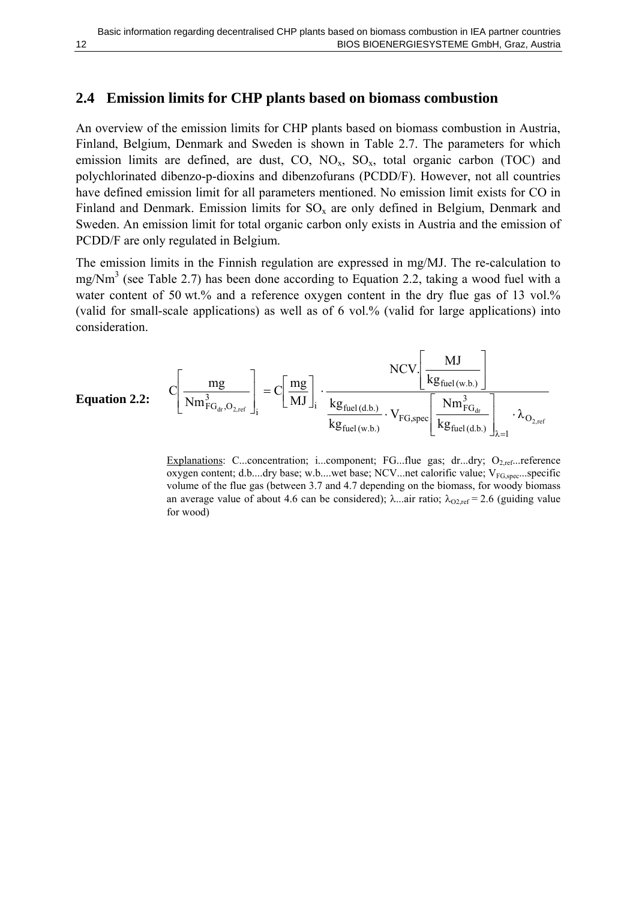#### <span id="page-15-0"></span>**2.4 Emission limits for CHP plants based on biomass combustion**

An overview of the emission limits for CHP plants based on biomass combustion in Austria, Finland, Belgium, Denmark and Sweden is shown in [Table 2.7.](#page-16-1) The parameters for which emission limits are defined, are dust,  $CO$ ,  $NO<sub>x</sub>$ ,  $SO<sub>x</sub>$ , total organic carbon (TOC) and polychlorinated dibenzo-p-dioxins and dibenzofurans (PCDD/F). However, not all countries have defined emission limit for all parameters mentioned. No emission limit exists for CO in Finland and Denmark. Emission limits for  $SO_x$  are only defined in Belgium, Denmark and Sweden. An emission limit for total organic carbon only exists in Austria and the emission of PCDD/F are only regulated in Belgium.

The emission limits in the Finnish regulation are expressed in mg/MJ. The re-calculation to mg/Nm<sup>3</sup> (see [Table 2.7\)](#page-16-1) has been done according to [Equation 2.2,](#page-15-1) taking a wood fuel with a water content of 50 wt.% and a reference oxygen content in the dry flue gas of 13 vol.% (valid for small-scale applications) as well as of 6 vol.% (valid for large applications) into consideration.

<span id="page-15-1"></span>

| Equation 2.2:                                                                                 |                                                                                                                                                                                                                                                                                                                                                                                                                                                                                                                                                                                                                                                                                                                                                                                                                                                                                                                                                                                                                                                                                                                                                                                                                                                                                                                                                                                                                                                                                                                         |
|-----------------------------------------------------------------------------------------------|-------------------------------------------------------------------------------------------------------------------------------------------------------------------------------------------------------------------------------------------------------------------------------------------------------------------------------------------------------------------------------------------------------------------------------------------------------------------------------------------------------------------------------------------------------------------------------------------------------------------------------------------------------------------------------------------------------------------------------------------------------------------------------------------------------------------------------------------------------------------------------------------------------------------------------------------------------------------------------------------------------------------------------------------------------------------------------------------------------------------------------------------------------------------------------------------------------------------------------------------------------------------------------------------------------------------------------------------------------------------------------------------------------------------------------------------------------------------------------------------------------------------------|
| \n $C\left[\frac{mg}{Nm_{FG_{dr},O_{2,ref}}}\right]_{i} = C\left[\frac{mg}{MJ}\right]_{i}$ \n | \n $\frac{NCV}{kg_{fuel(d.b.)}} \frac{MJ}{kg_{fuel(d.b.)}} \frac{MJ}{kg_{fuel(d.b.)}} \frac{MJ}{kg_{fuel(d.b.)}} \frac{J}{kg_{fuel(d.b.)}} \frac{J}{kg_{fuel(d.b.)}} \frac{J}{kg_{fuel(d.b.)}} \frac{J}{kg_{fuel(d.b.)}} \frac{J}{kg_{fuel(d.b.)}} \frac{J}{kg_{fuel(d.b.)}} \frac{J}{kg_{fuel(d.b.)}} \frac{J}{kg_{fuel(d.b.)}} \frac{J}{kg_{fuel(d.b.)}} \frac{J}{kg_{fuel(d.b.)}} \frac{J}{kg_{fuel(d.b.)}} \frac{J}{kg_{fuel(d.b.)}} \frac{J}{kg_{fuel(d.b.)}} \frac{J}{kg_{fuel(d.b.)}} \frac{J}{kg_{fuel(d.b.)}} \frac{J}{kg_{fuel(d.b.)}} \frac{J}{kg_{fuel(d.b.)}} \frac{J}{kg_{fuel(d.b.)}} \frac{J}{kg_{fuel(d.b.)}} \frac{J}{kg_{fuel(d.b.)}} \frac{J}{kg_{fuel(d.b.)}} \frac{J}{kg_{fuel(d.b.)}} \frac{J}{kg_{fuel(d.b.)}} \frac{J}{kg_{fuel(d.b.)}} \frac{J}{kg_{fuel(d.b.)}} \frac{J}{kg_{fuel(d.b.)}} \frac{J}{kg_{fuel(d.b.)}} \frac{J}{kg_{fuel(d.b.)}} \frac{J}{kg_{fuel(d.b.)}} \frac{J}{kg_{fuel(d.b.)}} \frac{J}{kg_{fuel(d.b.)}} \frac{J}{kg_{fuel(d.b.)}} \frac{J}{kg_{fuel(d.b.)}} \frac{J}{kg_{fuel(d.b.)}} \frac{J}{kg_{fuel(d.b.)}} \frac{J}{kg_{fuel}} \frac{J}{kg_{fuel}} \frac{J}{kg_{fuel}} \frac{J}{kg_{fuel}} \frac{J}{kg_{fuel}} \frac{J}{kg_{fuel}} \frac{J}{kg_{fuel}} \frac{J}{kg_{fuel}} \frac{J}{kg_{fuel}} \frac{J}{kg_{fuel}} \frac{J}{kg_{fuel}} \frac{J}{kg_{fuel}} \frac{J}{kg_{fuel}} \frac{J}{kg_{fuel}} \frac{J}{kg_{fuel}} \frac{J}{kg_{fuel}} \frac{J}{kg_{fuel}} \frac{J}{kg_{fuel}} \frac{J}{kg_{fuel}} \frac{J}{kg_{fuel}} \frac{J}{kg_{fuel}} \frac{J}{kg_{fuel}}$ |

Explanations: C...concentration; i...component; FG...flue gas; dr...dry;  $O_{2,\text{ref}}$ ...reference oxygen content; d.b....dry base; w.b....wet base; NCV...net calorific value; V<sub>FG,spec</sub>...specific volume of the flue gas (between 3.7 and 4.7 depending on the biomass, for woody biomass an average value of about 4.6 can be considered);  $\lambda$ ...air ratio;  $\lambda_{O2,ref} = 2.6$  (guiding value for wood)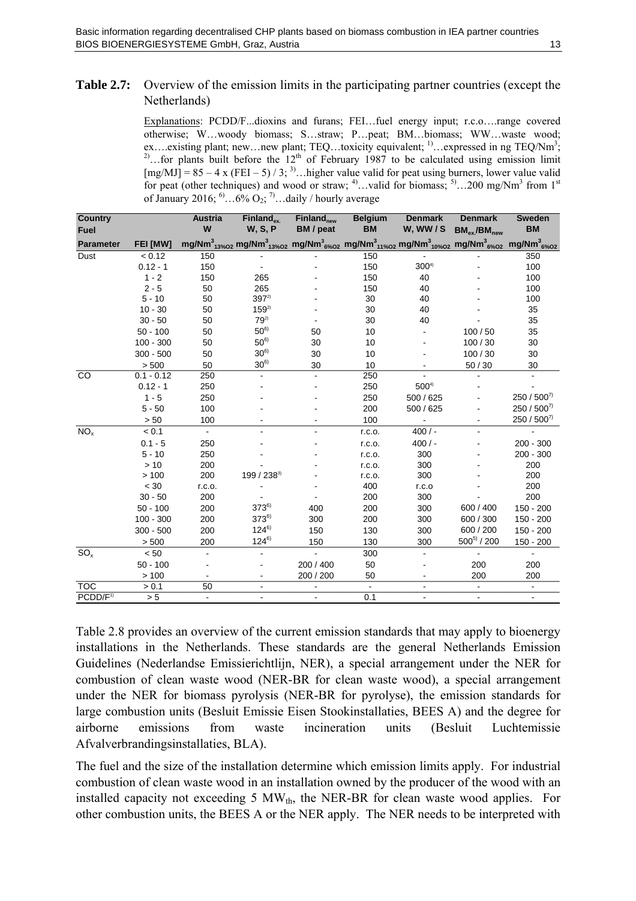#### <span id="page-16-1"></span><span id="page-16-0"></span>**Table 2.7:** Overview of the emission limits in the participating partner countries (except the Netherlands)

Explanations: PCDD/F...dioxins and furans; FEI…fuel energy input; r.c.o….range covered otherwise; W…woody biomass; S…straw; P…peat; BM…biomass; WW…waste wood; ex.... existing plant; new... new plant; TEQ... toxicity equivalent;  $\frac{1}{1}$ ... expressed in ng TEQ/Nm<sup>3</sup>; <sup>2)</sup>...for plants built before the  $12<sup>th</sup>$  of February 1987 to be calculated using emission limit  $[mg/MJ] = 85 - 4 \times (FEI - 5) / 3$ ; <sup>3)</sup>…higher value valid for peat using burners, lower value valid for peat (other techniques) and wood or straw;  $4^{\circ}$ ...valid for biomass;  $5^{\circ}$ ...200 mg/Nm<sup>3</sup> from 1<sup>st</sup> of January 2016;  $^{6}$ ...6% O<sub>2</sub>; <sup>7</sup>...daily / hourly average

| <b>Country</b>       |                 | <b>Austria</b> | $Find and$ <sub>ex</sub> | $Finland_{new}$ | <b>Belgium</b>                                                                                                                                                                                                                                           | <b>Denmark</b> | <b>Denmark</b>     | <b>Sweden</b> |
|----------------------|-----------------|----------------|--------------------------|-----------------|----------------------------------------------------------------------------------------------------------------------------------------------------------------------------------------------------------------------------------------------------------|----------------|--------------------|---------------|
| <b>Fuel</b>          |                 | W              | <b>W.S.P</b>             | BM / peat       | <b>BM</b>                                                                                                                                                                                                                                                | W, WW/S        | $BM_{ex}/BM_{new}$ | <b>BM</b>     |
| <b>Parameter</b>     | <b>FEI [MW]</b> |                |                          |                 | mg/Nm <sup>3</sup> <sub>13%02</sub> mg/Nm <sup>3</sup> <sub>13%02</sub> mg/Nm <sup>3</sup> <sub>6%02</sub> mg/Nm <sup>3</sup> <sub>11%02</sub> mg/Nm <sup>3</sup> <sub>10%02</sub> mg/Nm <sup>3</sup> <sub>6%02</sub> mg/Nm <sup>3</sup> <sub>6%02</sub> |                |                    |               |
| Dust                 | < 0.12          | 150            |                          |                 | 150                                                                                                                                                                                                                                                      |                |                    | 350           |
|                      | $0.12 - 1$      | 150            |                          |                 | 150                                                                                                                                                                                                                                                      | $300^{4}$      |                    | 100           |
|                      | $1 - 2$         | 150            | 265                      |                 | 150                                                                                                                                                                                                                                                      | 40             |                    | 100           |
|                      | $2 - 5$         | 50             | 265                      |                 | 150                                                                                                                                                                                                                                                      | 40             |                    | 100           |
|                      | $5 - 10$        | 50             | $397^{2}$                |                 | 30                                                                                                                                                                                                                                                       | 40             |                    | 100           |
|                      | $10 - 30$       | 50             | $159^{2}$                |                 | 30                                                                                                                                                                                                                                                       | 40             |                    | 35            |
|                      | $30 - 50$       | 50             | $79^{2}$                 |                 | 30                                                                                                                                                                                                                                                       | 40             |                    | 35            |
|                      | $50 - 100$      | 50             | $50^{6}$                 | 50              | 10                                                                                                                                                                                                                                                       |                | 100/50             | 35            |
|                      | $100 - 300$     | 50             | $50^{6}$                 | 30              | 10                                                                                                                                                                                                                                                       |                | 100/30             | 30            |
|                      | $300 - 500$     | 50             | $30^{6}$                 | 30              | 10                                                                                                                                                                                                                                                       |                | 100/30             | 30            |
|                      | > 500           | 50             | $30^{6}$                 | 30              | 10                                                                                                                                                                                                                                                       |                | 50/30              | 30            |
| CO                   | $0.1 - 0.12$    | 250            |                          |                 | 250                                                                                                                                                                                                                                                      |                |                    |               |
|                      | $0.12 - 1$      | 250            |                          |                 | 250                                                                                                                                                                                                                                                      | $500^{4}$      |                    |               |
|                      | $1 - 5$         | 250            |                          |                 | 250                                                                                                                                                                                                                                                      | 500 / 625      |                    | $250/500^{7}$ |
|                      | $5 - 50$        | 100            |                          |                 | 200                                                                                                                                                                                                                                                      | 500 / 625      |                    | $250/500^{7}$ |
|                      | > 50            | 100            |                          |                 | 100                                                                                                                                                                                                                                                      |                |                    | $250/500^{7}$ |
| $NO_{x}$             | < 0.1           |                |                          |                 | r.c.o.                                                                                                                                                                                                                                                   | 400/           |                    |               |
|                      | $0.1 - 5$       | 250            |                          |                 | r.c.o.                                                                                                                                                                                                                                                   | $400/$ -       |                    | $200 - 300$   |
|                      | $5 - 10$        | 250            |                          |                 | r.c.o.                                                                                                                                                                                                                                                   | 300            |                    | $200 - 300$   |
|                      | >10             | 200            |                          |                 | r.c.o.                                                                                                                                                                                                                                                   | 300            |                    | 200           |
|                      | > 100           | 200            | 199 / 2383)              |                 | r.c.o.                                                                                                                                                                                                                                                   | 300            |                    | 200           |
|                      | < 30            | r.c.o.         |                          |                 | 400                                                                                                                                                                                                                                                      | r.c.o          |                    | 200           |
|                      | $30 - 50$       | 200            |                          |                 | 200                                                                                                                                                                                                                                                      | 300            |                    | 200           |
|                      | $50 - 100$      | 200            | $373^{6}$                | 400             | 200                                                                                                                                                                                                                                                      | 300            | 600 / 400          | $150 - 200$   |
|                      | $100 - 300$     | 200            | $373^{6}$                | 300             | 200                                                                                                                                                                                                                                                      | 300            | 600 / 300          | $150 - 200$   |
|                      | $300 - 500$     | 200            | $124^{6}$                | 150             | 130                                                                                                                                                                                                                                                      | 300            | 600 / 200          | $150 - 200$   |
|                      | > 500           | 200            | 124 <sup>6)</sup>        | 150             | 130                                                                                                                                                                                                                                                      | 300            | $500^{5}$ / 200    | $150 - 200$   |
| $SO_{x}$             | < 50            |                |                          |                 | 300                                                                                                                                                                                                                                                      |                |                    |               |
|                      | $50 - 100$      |                |                          | 200 / 400       | 50                                                                                                                                                                                                                                                       |                | 200                | 200           |
|                      | >100            |                |                          | 200 / 200       | 50                                                                                                                                                                                                                                                       |                | 200                | 200           |
| TOC                  | > 0.1           | 50             |                          |                 |                                                                                                                                                                                                                                                          |                |                    |               |
| PCDD/F <sup>1)</sup> | > 5             |                |                          |                 | 0.1                                                                                                                                                                                                                                                      |                |                    |               |

[Table 2.8](#page-17-1) provides an overview of the current emission standards that may apply to bioenergy installations in the Netherlands. These standards are the general Netherlands Emission Guidelines (Nederlandse Emissierichtlijn, NER), a special arrangement under the NER for combustion of clean waste wood (NER-BR for clean waste wood), a special arrangement under the NER for biomass pyrolysis (NER-BR for pyrolyse), the emission standards for large combustion units (Besluit Emissie Eisen Stookinstallaties, BEES A) and the degree for airborne emissions from waste incineration units (Besluit Luchtemissie Afvalverbrandingsinstallaties, BLA).

The fuel and the size of the installation determine which emission limits apply. For industrial combustion of clean waste wood in an installation owned by the producer of the wood with an installed capacity not exceeding  $5 \text{ MW}_{th}$ , the NER-BR for clean waste wood applies. For other combustion units, the BEES A or the NER apply. The NER needs to be interpreted with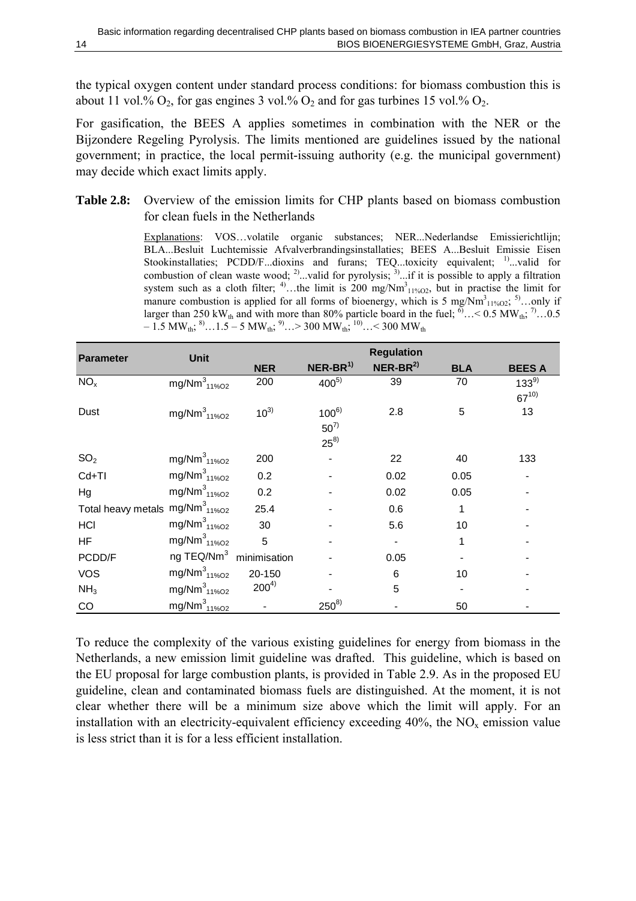<span id="page-17-0"></span>the typical oxygen content under standard process conditions: for biomass combustion this is about 11 vol.%  $O_2$ , for gas engines 3 vol.%  $O_2$  and for gas turbines 15 vol.%  $O_2$ .

For gasification, the BEES A applies sometimes in combination with the NER or the Bijzondere Regeling Pyrolysis. The limits mentioned are guidelines issued by the national government; in practice, the local permit-issuing authority (e.g. the municipal government) may decide which exact limits apply.

#### <span id="page-17-1"></span>**Table 2.8:** Overview of the emission limits for CHP plants based on biomass combustion for clean fuels in the Netherlands

Explanations: VOS…volatile organic substances; NER...Nederlandse Emissierichtlijn; BLA...Besluit Luchtemissie Afvalverbrandingsinstallaties; BEES A...Besluit Emissie Eisen Stookinstallaties; PCDD/F...dioxins and furans; TEQ...toxicity equivalent; <sup>1</sup>...valid for combustion of clean waste wood; <sup>2)</sup>...valid for pyrolysis; <sup>3)</sup>...if it is possible to apply a filtration system such as a cloth filter; <sup>4)</sup>...the limit is 200 mg/Nm<sup>3</sup><sub>11%O2</sub>, but in practise the limit for manure combustion is applied for all forms of bioenergy, which is 5 mg/Nm<sup>3</sup><sub>11%O2</sub>; <sup>5</sup>...only if larger than 250 kW<sub>th</sub> and with more than 80% particle board in the fuel;  $^{6}$ ... < 0.5 MW<sub>th</sub>; <sup>7</sup>....0.5  $- 1.5$  MW<sub>th</sub>;  $^{8}$ ...1.5 – 5 MW<sub>th</sub>;  $^{9}$ ...> 300 MW<sub>th</sub>;  $^{10}$ ...< 300 MW<sub>th</sub>

| <b>Parameter</b>                      | <b>Unit</b>                         | <b>Regulation</b> |              |            |            |               |  |  |
|---------------------------------------|-------------------------------------|-------------------|--------------|------------|------------|---------------|--|--|
|                                       |                                     | <b>NER</b>        | $NER-BR^{1}$ | $NER-BR^2$ | <b>BLA</b> | <b>BEES A</b> |  |  |
| NO <sub>x</sub>                       | mg/Nm <sup>3</sup> <sub>11%O2</sub> | 200               | $400^{5}$    | 39         | 70         | $133^{9}$     |  |  |
|                                       |                                     |                   |              |            |            | $67^{10}$     |  |  |
| Dust                                  | mg/Nm $_{11\%02}^{3}$               | $10^{3}$          | $100^{6}$    | 2.8        | 5          | 13            |  |  |
|                                       |                                     |                   | $50^{7}$     |            |            |               |  |  |
|                                       |                                     |                   | $25^{8)}$    |            |            |               |  |  |
| SO <sub>2</sub>                       | mg/Nm $_{11\%O2}^{3}$               | 200               |              | 22         | 40         | 133           |  |  |
| Cd+TI                                 | mg/Nm <sup>3</sup> <sub>11%O2</sub> | 0.2               |              | 0.02       | 0.05       |               |  |  |
| Hg                                    | mg/Nm $_{11\%O2}^{3}$               | 0.2               |              | 0.02       | 0.05       |               |  |  |
| Total heavy metals $mg/Nm_{11\%O2}^3$ |                                     | 25.4              |              | 0.6        | 1          |               |  |  |
| HCI                                   | mg/Nm $_{11\%O2}^{3}$               | 30                |              | 5.6        | 10         |               |  |  |
| HF                                    | mg/Nm $_{11\%O2}^{3}$               | 5                 |              |            |            |               |  |  |
| PCDD/F                                | ng TEQ/Nm <sup>3</sup> minimisation |                   |              | 0.05       |            |               |  |  |
| <b>VOS</b>                            | mg/Nm $_{11\%$ O <sub>2</sub>       | 20-150            |              | 6          | 10         |               |  |  |
| NH <sub>3</sub>                       | mg/Nm $_{11\%$ O <sub>2</sub>       | $200^{4}$         |              | 5          |            |               |  |  |
| CO                                    | mg/Nm <sup>3</sup> <sub>11%O2</sub> |                   | $250^{8}$    |            | 50         |               |  |  |

To reduce the complexity of the various existing guidelines for energy from biomass in the Netherlands, a new emission limit guideline was drafted. This guideline, which is based on the EU proposal for large combustion plants, is provided in [Table 2.9.](#page-18-1) As in the proposed EU guideline, clean and contaminated biomass fuels are distinguished. At the moment, it is not clear whether there will be a minimum size above which the limit will apply. For an installation with an electricity-equivalent efficiency exceeding  $40\%$ , the NO<sub>x</sub> emission value is less strict than it is for a less efficient installation.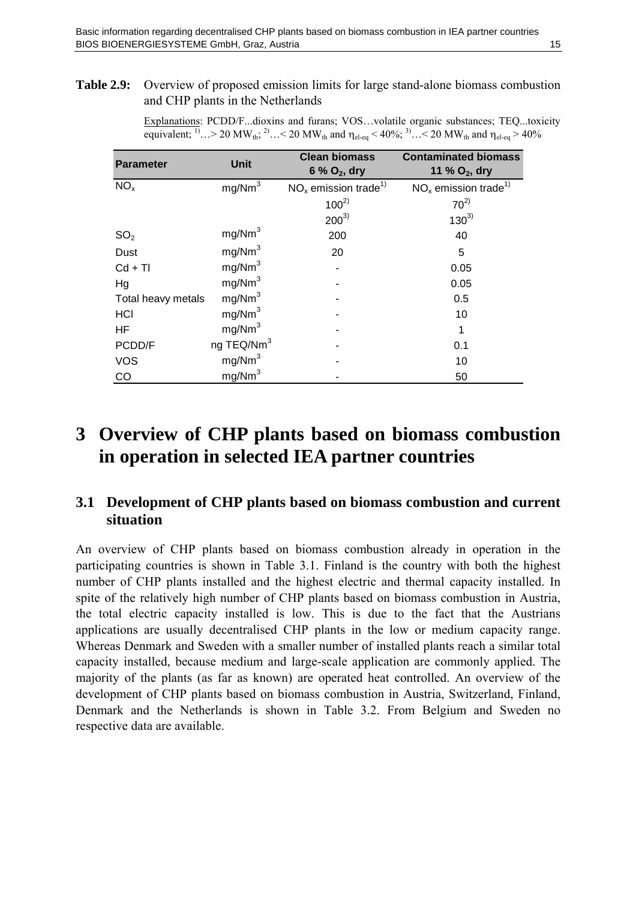<span id="page-18-1"></span><span id="page-18-0"></span>**Table 2.9:** Overview of proposed emission limits for large stand-alone biomass combustion and CHP plants in the Netherlands

> Explanations: PCDD/F...dioxins and furans; VOS…volatile organic substances; TEQ...toxicity equivalent; <sup>1)</sup>… > 20 MW<sub>th</sub>; <sup>2)</sup>… < 20 MW<sub>th</sub> and  $\eta_{el-eq}$  < 40%; <sup>3)</sup>… < 20 MW<sub>th</sub> and  $\eta_{el-eq}$  > 40%

| <b>Parameter</b>   | <b>Unit</b>            | <b>Clean biomass</b>               | <b>Contaminated biomass</b>        |  |  |  |
|--------------------|------------------------|------------------------------------|------------------------------------|--|--|--|
|                    |                        | 6 % $O_2$ , dry                    | 11 % $O_2$ , dry                   |  |  |  |
| NO <sub>x</sub>    | mg/Nm <sup>3</sup>     | $NOx$ emission trade <sup>1)</sup> | $NOx$ emission trade <sup>1)</sup> |  |  |  |
|                    |                        | $100^{2}$                          | $70^{2}$                           |  |  |  |
|                    |                        | $200^{3}$                          | $130^{3}$                          |  |  |  |
| SO <sub>2</sub>    | mg/Nm <sup>3</sup>     | 200                                | 40                                 |  |  |  |
| Dust               | mg/Nm <sup>3</sup>     | 20                                 | 5                                  |  |  |  |
| $Cd + TI$          | mg/Nm <sup>3</sup>     |                                    | 0.05                               |  |  |  |
| Hg                 | mg/Nm <sup>3</sup>     |                                    | 0.05                               |  |  |  |
| Total heavy metals | mg/Nm <sup>3</sup>     |                                    | 0.5                                |  |  |  |
| HCI                | mg/Nm <sup>3</sup>     |                                    | 10                                 |  |  |  |
| HF.                | mg/Nm <sup>3</sup>     |                                    |                                    |  |  |  |
| PCDD/F             | ng TEQ/Nm <sup>3</sup> |                                    | 0.1                                |  |  |  |
| <b>VOS</b>         | mg/Nm <sup>3</sup>     |                                    | 10                                 |  |  |  |
| CO                 | mg/Nm <sup>3</sup>     |                                    | 50                                 |  |  |  |

# **3 Overview of CHP plants based on biomass combustion in operation in selected IEA partner countries**

#### **3.1 Development of CHP plants based on biomass combustion and current situation**

An overview of CHP plants based on biomass combustion already in operation in the participating countries is shown in [Table 3.1.](#page-19-1) Finland is the country with both the highest number of CHP plants installed and the highest electric and thermal capacity installed. In spite of the relatively high number of CHP plants based on biomass combustion in Austria, the total electric capacity installed is low. This is due to the fact that the Austrians applications are usually decentralised CHP plants in the low or medium capacity range. Whereas Denmark and Sweden with a smaller number of installed plants reach a similar total capacity installed, because medium and large-scale application are commonly applied. The majority of the plants (as far as known) are operated heat controlled. An overview of the development of CHP plants based on biomass combustion in Austria, Switzerland, Finland, Denmark and the Netherlands is shown in [Table 3.2.](#page-19-2) From Belgium and Sweden no respective data are available.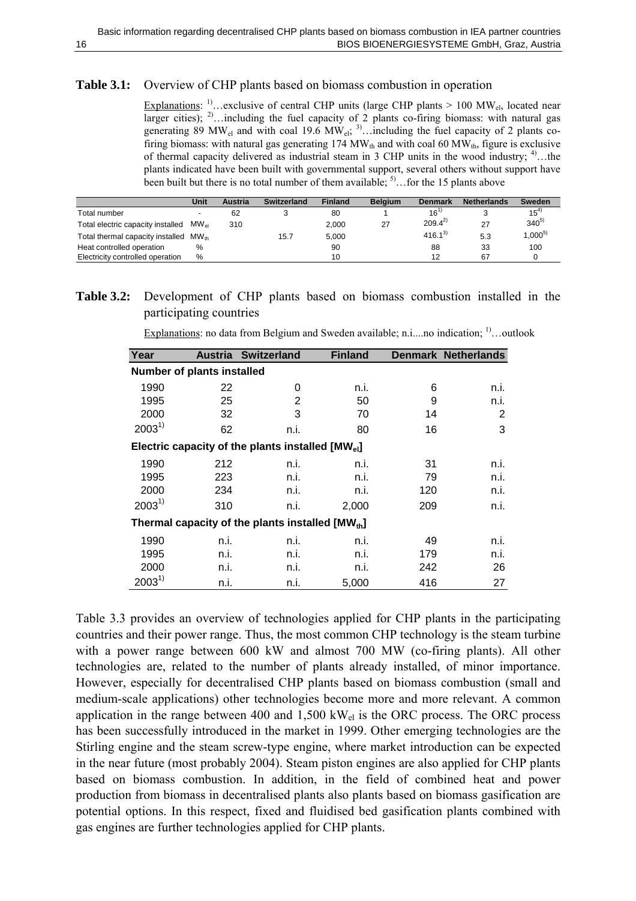#### <span id="page-19-1"></span><span id="page-19-0"></span>**Table 3.1:** Overview of CHP plants based on biomass combustion in operation

Explanations: <sup>1)</sup>…exclusive of central CHP units (large CHP plants  $> 100 \text{ MW}_{el}$ , located near larger cities);  $^{2}$ ... including the fuel capacity of 2 plants co-firing biomass: with natural gas generating 89 MW<sub>el</sub> and with coal 19.6 MW<sub>el</sub>; <sup>3)</sup>…including the fuel capacity of 2 plants cofiring biomass: with natural gas generating 174 MW<sub>th</sub> and with coal 60 MW<sub>th</sub>, figure is exclusive of thermal capacity delivered as industrial steam in 3 CHP units in the wood industry;  $4^{\circ}$ ...the plants indicated have been built with governmental support, several others without support have been built but there is no total number of them available;  $5^{\circ}$ ... for the 15 plants above

|                                   | Unit      | <b>Austria</b> | Switzerland | <b>Finland</b> | <b>Belaium</b> | <b>Denmark</b> | <b>Netherlands</b> | Sweden      |
|-----------------------------------|-----------|----------------|-------------|----------------|----------------|----------------|--------------------|-------------|
| Total number                      |           | 62             |             | 80             |                | 16'            |                    | $15^4$      |
| Total electric capacity installed | $MW_{el}$ | 310            |             | 2.000          | 27             | $209.4^{2}$    | 27                 | $340^{5}$   |
| Total thermal capacity installed  | $MW_{th}$ |                | 15.7        | 5.000          |                | $416.1^{3}$    | 5.3                | $1,000^{5}$ |
| Heat controlled operation         | $\%$      |                |             | 90             |                | 88             | 33                 | 100         |
| Electricity controlled operation  | %         |                |             | 10             |                | 12             | 67                 |             |

#### <span id="page-19-2"></span>**Table 3.2:** Development of CHP plants based on biomass combustion installed in the participating countries

|  |  |  |  | $\frac{E_{\text{Xplanations}}}{\sigma}$ no data from Belgium and Sweden available; n.ino indication; <sup>1)</sup> outlook |  |
|--|--|--|--|----------------------------------------------------------------------------------------------------------------------------|--|
|  |  |  |  |                                                                                                                            |  |

| Year                              | <b>Austria</b> | <b>Switzerland</b>                                           | <b>Finland</b> |     | <b>Denmark Netherlands</b> |  |  |  |  |  |  |
|-----------------------------------|----------------|--------------------------------------------------------------|----------------|-----|----------------------------|--|--|--|--|--|--|
| <b>Number of plants installed</b> |                |                                                              |                |     |                            |  |  |  |  |  |  |
| 1990                              | 22             | 0                                                            | n.i.           | 6   | n.i.                       |  |  |  |  |  |  |
| 1995                              | 25             | 2                                                            | 50             | 9   | n.i.                       |  |  |  |  |  |  |
| 2000                              | 32             | 3                                                            | 70             | 14  | 2                          |  |  |  |  |  |  |
| $2003^{1}$                        | 62             | n.i.                                                         | 80             | 16  | 3                          |  |  |  |  |  |  |
|                                   |                | Electric capacity of the plants installed $[MW_{el}]$        |                |     |                            |  |  |  |  |  |  |
| 1990                              | 212            | n.i.                                                         | n.i.           | 31  | n.i.                       |  |  |  |  |  |  |
| 1995                              | 223            | n.i.                                                         | n.i.           | 79  | n.i.                       |  |  |  |  |  |  |
| 2000                              | 234            | n.i.                                                         | n.i.           | 120 | n.i.                       |  |  |  |  |  |  |
| $2003^{1}$                        | 310            | n.i.                                                         | 2,000          | 209 | n.i.                       |  |  |  |  |  |  |
|                                   |                | Thermal capacity of the plants installed [MW <sub>th</sub> ] |                |     |                            |  |  |  |  |  |  |
| 1990                              | n.i.           | n.i.                                                         | n.i.           | 49  | n.i.                       |  |  |  |  |  |  |
| 1995                              | n.i.           | n.i.                                                         | n.i.           | 179 | n.i.                       |  |  |  |  |  |  |
| 2000                              | n.i.           | n.i.                                                         | n.i.           | 242 | 26                         |  |  |  |  |  |  |
| $2003^{1}$                        | n.i.           | n.i.                                                         | 5,000          | 416 | 27                         |  |  |  |  |  |  |

[Table 3.3](#page-20-1) provides an overview of technologies applied for CHP plants in the participating countries and their power range. Thus, the most common CHP technology is the steam turbine with a power range between 600 kW and almost 700 MW (co-firing plants). All other technologies are, related to the number of plants already installed, of minor importance. However, especially for decentralised CHP plants based on biomass combustion (small and medium-scale applications) other technologies become more and more relevant. A common application in the range between 400 and  $1,500 \text{ kW}_{el}$  is the ORC process. The ORC process has been successfully introduced in the market in 1999. Other emerging technologies are the Stirling engine and the steam screw-type engine, where market introduction can be expected in the near future (most probably 2004). Steam piston engines are also applied for CHP plants based on biomass combustion. In addition, in the field of combined heat and power production from biomass in decentralised plants also plants based on biomass gasification are potential options. In this respect, fixed and fluidised bed gasification plants combined with gas engines are further technologies applied for CHP plants.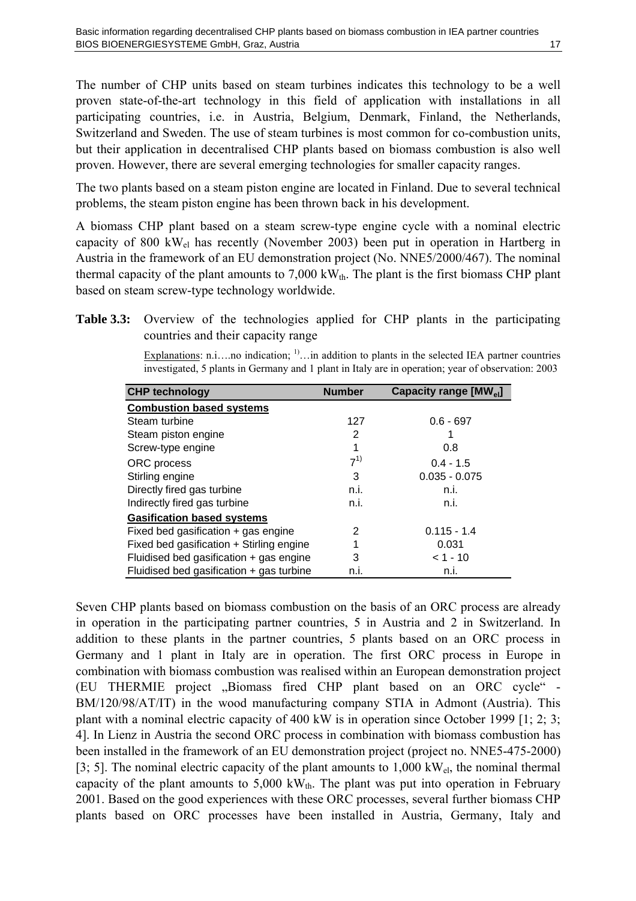<span id="page-20-0"></span>The number of CHP units based on steam turbines indicates this technology to be a well proven state-of-the-art technology in this field of application with installations in all participating countries, i.e. in Austria, Belgium, Denmark, Finland, the Netherlands, Switzerland and Sweden. The use of steam turbines is most common for co-combustion units, but their application in decentralised CHP plants based on biomass combustion is also well proven. However, there are several emerging technologies for smaller capacity ranges.

The two plants based on a steam piston engine are located in Finland. Due to several technical problems, the steam piston engine has been thrown back in his development.

A biomass CHP plant based on a steam screw-type engine cycle with a nominal electric capacity of 800 kWel has recently (November 2003) been put in operation in Hartberg in Austria in the framework of an EU demonstration project (No. NNE5/2000/467). The nominal thermal capacity of the plant amounts to  $7,000 \text{ kW}_{th}$ . The plant is the first biomass CHP plant based on steam screw-type technology worldwide.

<span id="page-20-1"></span>**Table 3.3:** Overview of the technologies applied for CHP plants in the participating countries and their capacity range

Explanations: n.i....no indication;  $\frac{1}{1}$ ...in addition to plants in the selected IEA partner countries investigated, 5 plants in Germany and 1 plant in Italy are in operation; year of observation: 2003

| <b>CHP technology</b>                      | <b>Number</b> | Capacity range [MW <sub>el</sub> ] |
|--------------------------------------------|---------------|------------------------------------|
| <b>Combustion based systems</b>            |               |                                    |
| Steam turbine                              | 127           | $0.6 - 697$                        |
| Steam piston engine                        | 2             |                                    |
| Screw-type engine                          | 1             | 0.8                                |
| ORC process                                | $7^{1}$       | $0.4 - 1.5$                        |
| Stirling engine                            | 3             | $0.035 - 0.075$                    |
| Directly fired gas turbine                 | n.i.          | n.i.                               |
| Indirectly fired gas turbine               | n.i.          | n.i.                               |
| <b>Gasification based systems</b>          |               |                                    |
| Fixed bed gasification $+$ gas engine      | 2             | $0.115 - 1.4$                      |
| Fixed bed gasification + Stirling engine   | 1             | 0.031                              |
| Fluidised bed gasification $+$ gas engine  | 3             | $< 1 - 10$                         |
| Fluidised bed gasification $+$ gas turbine | n.i.          | n.i.                               |

<span id="page-20-2"></span>Seven CHP plants based on biomass combustion on the basis of an ORC process are already in operation in the participating partner countries, 5 in Austria and 2 in Switzerland. In addition to these plants in the partner countries, 5 plants based on an ORC process in Germany and 1 plant in Italy are in operation. The first ORC process in Europe in combination with biomass combustion was realised within an European demonstration project (EU THERMIE project "Biomass fired CHP plant based on an ORC cycle" -BM/120/98/AT/IT) in the wood manufacturing company STIA in Admont (Austria). This plant with a nominal electric capacity of 400 kW is in operation since October 1999 [\[1;](#page-24-1) [2;](#page-24-2) [3;](#page-24-3) [4\]](#page-24-4). In Lienz in Austria the second ORC process in combination with biomass combustion has been installed in the framework of an EU demonstration project (project no. NNE5-475-2000) [[3;](#page-20-2) [5\]](#page-24-5). The nominal electric capacity of the plant amounts to  $1,000 \text{ kW}_{\text{el}}$ , the nominal thermal capacity of the plant amounts to  $5,000 \text{ kW}_{th}$ . The plant was put into operation in February 2001. Based on the good experiences with these ORC processes, several further biomass CHP plants based on ORC processes have been installed in Austria, Germany, Italy and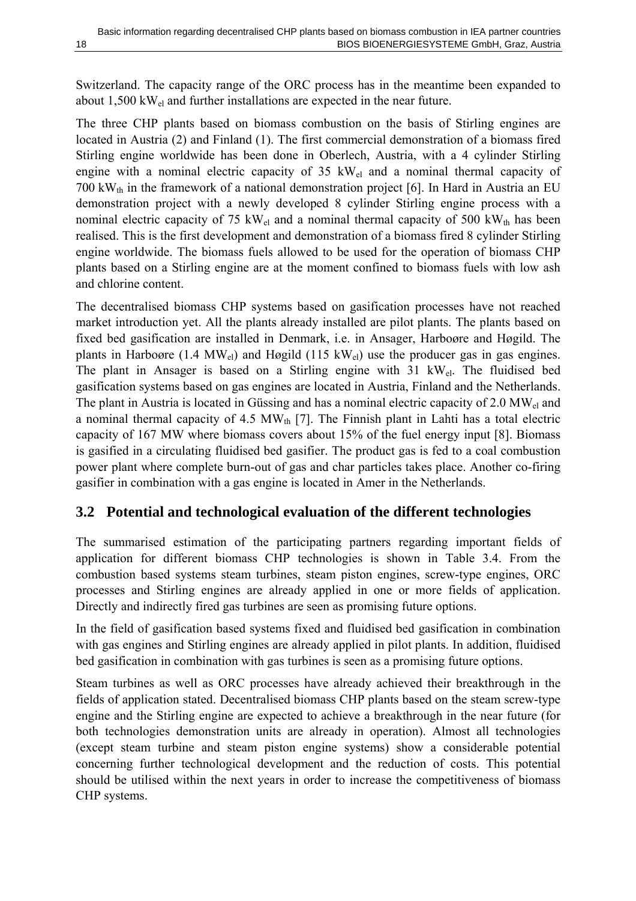<span id="page-21-0"></span>Switzerland. The capacity range of the ORC process has in the meantime been expanded to about 1,500 kWel and further installations are expected in the near future.

The three CHP plants based on biomass combustion on the basis of Stirling engines are located in Austria (2) and Finland (1). The first commercial demonstration of a biomass fired Stirling engine worldwide has been done in Oberlech, Austria, with a 4 cylinder Stirling engine with a nominal electric capacity of 35  $kW<sub>el</sub>$  and a nominal thermal capacity of 700 kW<sub>th</sub> in the framework of a national demonstration project [\[6\]](#page-24-6). In Hard in Austria an EU demonstration project with a newly developed 8 cylinder Stirling engine process with a nominal electric capacity of 75 kW<sub>el</sub> and a nominal thermal capacity of 500 kW<sub>th</sub> has been realised. This is the first development and demonstration of a biomass fired 8 cylinder Stirling engine worldwide. The biomass fuels allowed to be used for the operation of biomass CHP plants based on a Stirling engine are at the moment confined to biomass fuels with low ash and chlorine content.

The decentralised biomass CHP systems based on gasification processes have not reached market introduction yet. All the plants already installed are pilot plants. The plants based on fixed bed gasification are installed in Denmark, i.e. in Ansager, Harboøre and Høgild. The plants in Harboøre (1.4  $MW_{el}$ ) and Høgild (115 kW<sub>el</sub>) use the producer gas in gas engines. The plant in Ansager is based on a Stirling engine with 31 kWel. The fluidised bed gasification systems based on gas engines are located in Austria, Finland and the Netherlands. The plant in Austria is located in Güssing and has a nominal electric capacity of 2.0 MW<sub>el</sub> and a nominal thermal capacity of 4.5  $MW_{th}$  [\[7\]](#page-24-7). The Finnish plant in Lahti has a total electric capacity of 167 MW where biomass covers about 15% of the fuel energy input [\[8\]](#page-24-8). Biomass is gasified in a circulating fluidised bed gasifier. The product gas is fed to a coal combustion power plant where complete burn-out of gas and char particles takes place. Another co-firing gasifier in combination with a gas engine is located in Amer in the Netherlands.

#### **3.2 Potential and technological evaluation of the different technologies**

The summarised estimation of the participating partners regarding important fields of application for different biomass CHP technologies is shown in [Table 3.4.](#page-22-1) From the combustion based systems steam turbines, steam piston engines, screw-type engines, ORC processes and Stirling engines are already applied in one or more fields of application. Directly and indirectly fired gas turbines are seen as promising future options.

In the field of gasification based systems fixed and fluidised bed gasification in combination with gas engines and Stirling engines are already applied in pilot plants. In addition, fluidised bed gasification in combination with gas turbines is seen as a promising future options.

Steam turbines as well as ORC processes have already achieved their breakthrough in the fields of application stated. Decentralised biomass CHP plants based on the steam screw-type engine and the Stirling engine are expected to achieve a breakthrough in the near future (for both technologies demonstration units are already in operation). Almost all technologies (except steam turbine and steam piston engine systems) show a considerable potential concerning further technological development and the reduction of costs. This potential should be utilised within the next years in order to increase the competitiveness of biomass CHP systems.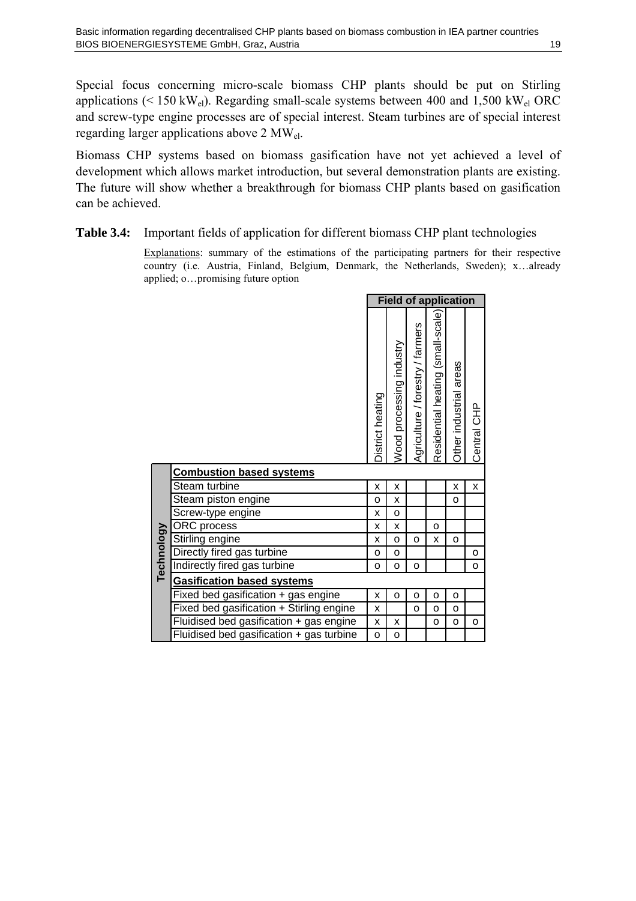<span id="page-22-0"></span>Special focus concerning micro-scale biomass CHP plants should be put on Stirling applications ( $\leq 150 \text{ kW}_{el}$ ). Regarding small-scale systems between 400 and 1,500 kW<sub>el</sub> ORC and screw-type engine processes are of special interest. Steam turbines are of special interest regarding larger applications above 2 MWel.

Biomass CHP systems based on biomass gasification have not yet achieved a level of development which allows market introduction, but several demonstration plants are existing. The future will show whether a breakthrough for biomass CHP plants based on gasification can be achieved.

#### <span id="page-22-1"></span>**Table 3.4:** Important fields of application for different biomass CHP plant technologies

Explanations: summary of the estimations of the participating partners for their respective country (i.e. Austria, Finland, Belgium, Denmark, the Netherlands, Sweden); x…already applied; o…promising future option

|            |                                          | <b>Field of application</b> |                          |                                  |                                   |                        |             |
|------------|------------------------------------------|-----------------------------|--------------------------|----------------------------------|-----------------------------------|------------------------|-------------|
|            |                                          | District heating            | Wood processing industry | Agriculture / forestry / farmers | Residential heating (small-scale) | Other industrial areas | Central CHP |
|            | <b>Combustion based systems</b>          |                             |                          |                                  |                                   |                        |             |
|            | Steam turbine                            | X                           | X                        |                                  |                                   | x                      | X           |
|            | Steam piston engine                      | O                           | x                        |                                  |                                   | o                      |             |
|            | Screw-type engine                        | x                           | O                        |                                  |                                   |                        |             |
|            | ORC process                              | X                           | X                        |                                  | o                                 |                        |             |
| Technology | Stirling engine                          | x                           | o                        | o                                | x                                 | o                      |             |
|            | Directly fired gas turbine               | o                           | o                        |                                  |                                   |                        | o           |
|            | Indirectly fired gas turbine             | $\circ$                     | o                        | o                                |                                   |                        | O           |
|            | Gasification based systems               |                             |                          |                                  |                                   |                        |             |
|            | Fixed bed gasification + gas engine      | x                           | o                        | o                                | o                                 | o                      |             |
|            | Fixed bed gasification + Stirling engine | Χ                           |                          | o                                | O                                 | o                      |             |
|            | Fluidised bed gasification + gas engine  | x                           | x                        |                                  | o                                 | o                      | o           |
|            | Fluidised bed gasification + gas turbine | o                           | o                        |                                  |                                   |                        |             |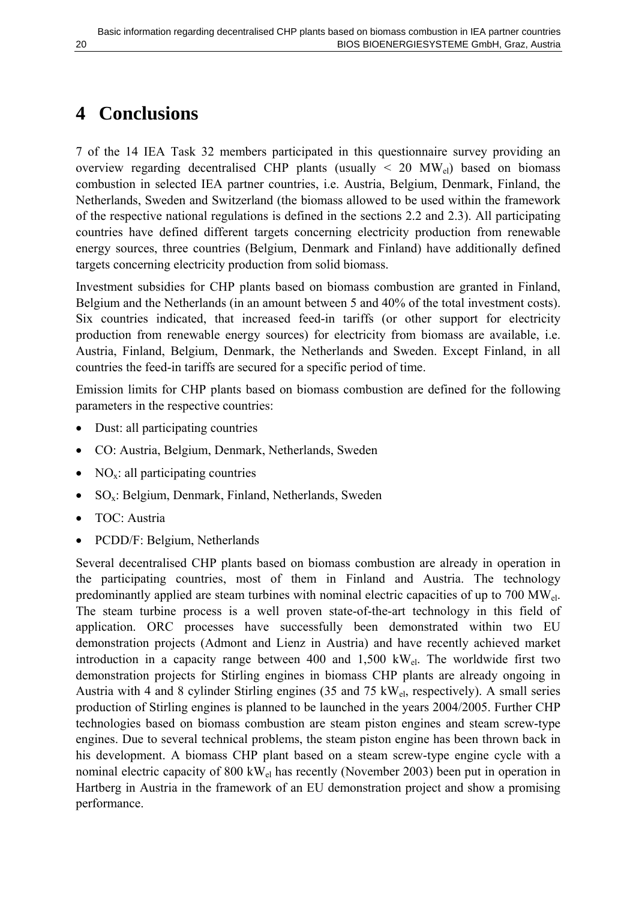# <span id="page-23-0"></span>**4 Conclusions**

7 of the 14 IEA Task 32 members participated in this questionnaire survey providing an overview regarding decentralised CHP plants (usually  $\leq$  20 MW<sub>el</sub>) based on biomass combustion in selected IEA partner countries, i.e. Austria, Belgium, Denmark, Finland, the Netherlands, Sweden and Switzerland (the biomass allowed to be used within the framework of the respective national regulations is defined in the sections [2.2](#page-8-1) and [2.3\)](#page-10-1). All participating countries have defined different targets concerning electricity production from renewable energy sources, three countries (Belgium, Denmark and Finland) have additionally defined targets concerning electricity production from solid biomass.

Investment subsidies for CHP plants based on biomass combustion are granted in Finland, Belgium and the Netherlands (in an amount between 5 and 40% of the total investment costs). Six countries indicated, that increased feed-in tariffs (or other support for electricity production from renewable energy sources) for electricity from biomass are available, i.e. Austria, Finland, Belgium, Denmark, the Netherlands and Sweden. Except Finland, in all countries the feed-in tariffs are secured for a specific period of time.

Emission limits for CHP plants based on biomass combustion are defined for the following parameters in the respective countries:

- Dust: all participating countries
- CO: Austria, Belgium, Denmark, Netherlands, Sweden
- $NO<sub>x</sub>$ : all participating countries
- $SO_x$ : Belgium, Denmark, Finland, Netherlands, Sweden
- TOC: Austria
- PCDD/F: Belgium, Netherlands

Several decentralised CHP plants based on biomass combustion are already in operation in the participating countries, most of them in Finland and Austria. The technology predominantly applied are steam turbines with nominal electric capacities of up to 700 MWel. The steam turbine process is a well proven state-of-the-art technology in this field of application. ORC processes have successfully been demonstrated within two EU demonstration projects (Admont and Lienz in Austria) and have recently achieved market introduction in a capacity range between 400 and 1,500 kWel. The worldwide first two demonstration projects for Stirling engines in biomass CHP plants are already ongoing in Austria with 4 and 8 cylinder Stirling engines (35 and 75 kWel, respectively). A small series production of Stirling engines is planned to be launched in the years 2004/2005. Further CHP technologies based on biomass combustion are steam piston engines and steam screw-type engines. Due to several technical problems, the steam piston engine has been thrown back in his development. A biomass CHP plant based on a steam screw-type engine cycle with a nominal electric capacity of 800 kWel has recently (November 2003) been put in operation in Hartberg in Austria in the framework of an EU demonstration project and show a promising performance.